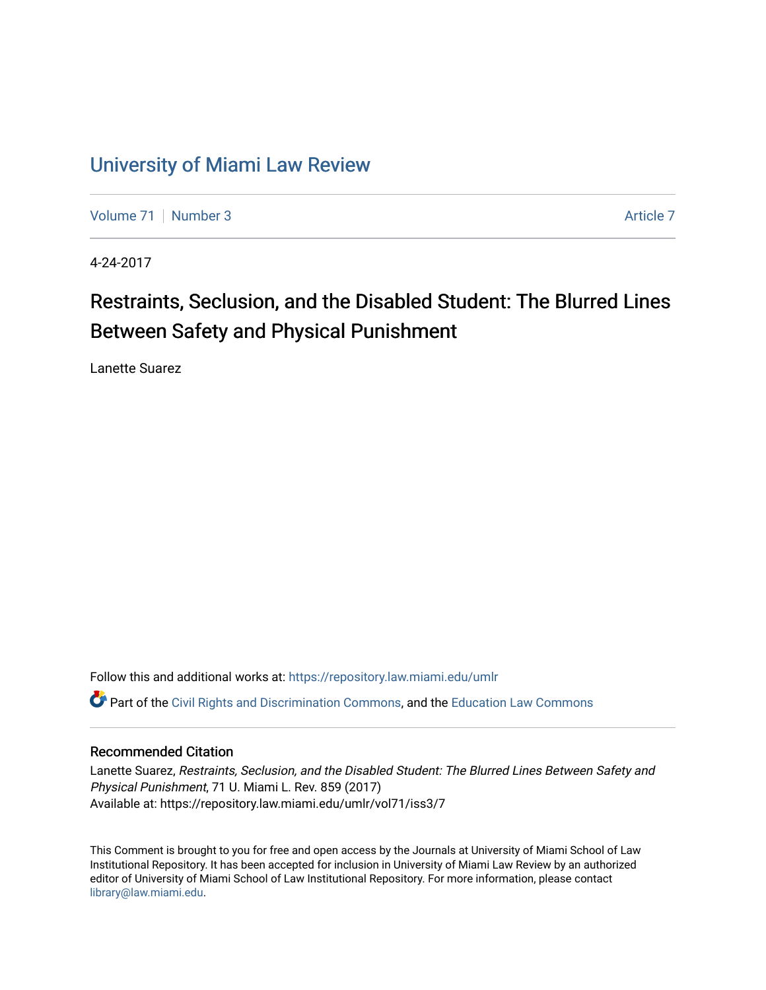## [University of Miami Law Review](https://repository.law.miami.edu/umlr)

[Volume 71](https://repository.law.miami.edu/umlr/vol71) | [Number 3](https://repository.law.miami.edu/umlr/vol71/iss3) [Article 7](https://repository.law.miami.edu/umlr/vol71/iss3/7) Article 7

4-24-2017

# Restraints, Seclusion, and the Disabled Student: The Blurred Lines Between Safety and Physical Punishment

Lanette Suarez

Follow this and additional works at: [https://repository.law.miami.edu/umlr](https://repository.law.miami.edu/umlr?utm_source=repository.law.miami.edu%2Fumlr%2Fvol71%2Fiss3%2F7&utm_medium=PDF&utm_campaign=PDFCoverPages)

Part of the [Civil Rights and Discrimination Commons,](http://network.bepress.com/hgg/discipline/585?utm_source=repository.law.miami.edu%2Fumlr%2Fvol71%2Fiss3%2F7&utm_medium=PDF&utm_campaign=PDFCoverPages) and the [Education Law Commons](http://network.bepress.com/hgg/discipline/596?utm_source=repository.law.miami.edu%2Fumlr%2Fvol71%2Fiss3%2F7&utm_medium=PDF&utm_campaign=PDFCoverPages) 

## Recommended Citation

Lanette Suarez, Restraints, Seclusion, and the Disabled Student: The Blurred Lines Between Safety and Physical Punishment, 71 U. Miami L. Rev. 859 (2017) Available at: https://repository.law.miami.edu/umlr/vol71/iss3/7

This Comment is brought to you for free and open access by the Journals at University of Miami School of Law Institutional Repository. It has been accepted for inclusion in University of Miami Law Review by an authorized editor of University of Miami School of Law Institutional Repository. For more information, please contact [library@law.miami.edu.](mailto:library@law.miami.edu)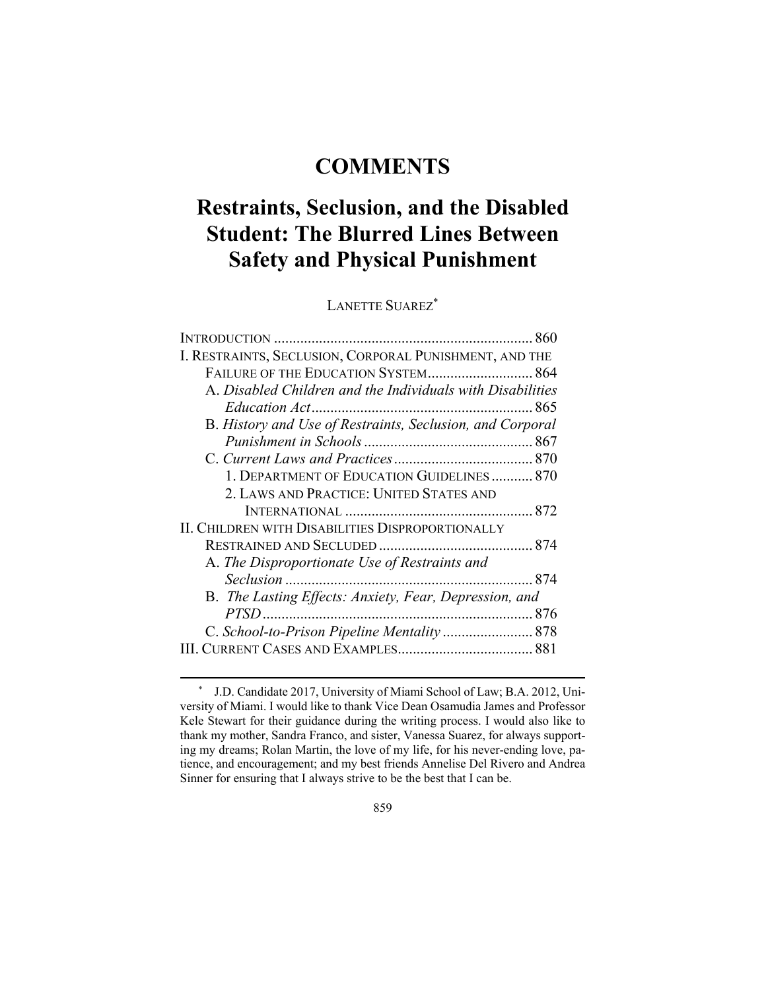## **COMMENTS**

# **Restraints, Seclusion, and the Disabled Student: The Blurred Lines Between Safety and Physical Punishment**

LANETTE SUAREZ\*

| I. RESTRAINTS, SECLUSION, CORPORAL PUNISHMENT, AND THE     |
|------------------------------------------------------------|
| FAILURE OF THE EDUCATION SYSTEM 864                        |
| A. Disabled Children and the Individuals with Disabilities |
|                                                            |
| B. History and Use of Restraints, Seclusion, and Corporal  |
|                                                            |
|                                                            |
| 1. DEPARTMENT OF EDUCATION GUIDELINES 870                  |
| 2. LAWS AND PRACTICE: UNITED STATES AND                    |
|                                                            |
| <b>II. CHILDREN WITH DISABILITIES DISPROPORTIONALLY</b>    |
|                                                            |
| A. The Disproportionate Use of Restraints and              |
| Seclusion                                                  |
| B. The Lasting Effects: Anxiety, Fear, Depression, and     |
| $PTSD$                                                     |
|                                                            |
|                                                            |
|                                                            |

 <sup>\*</sup> J.D. Candidate 2017, University of Miami School of Law; B.A. 2012, University of Miami. I would like to thank Vice Dean Osamudia James and Professor Kele Stewart for their guidance during the writing process. I would also like to thank my mother, Sandra Franco, and sister, Vanessa Suarez, for always supporting my dreams; Rolan Martin, the love of my life, for his never-ending love, patience, and encouragement; and my best friends Annelise Del Rivero and Andrea Sinner for ensuring that I always strive to be the best that I can be.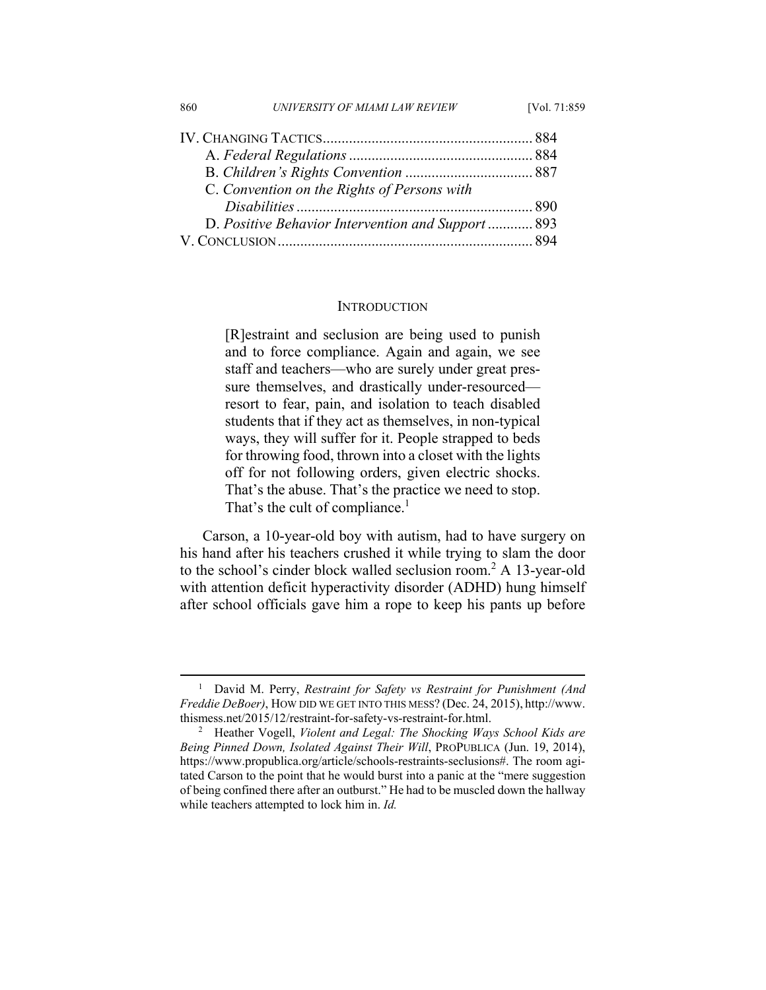| 860                                                | UNIVERSITY OF MIAMI LAW REVIEW              | [Vol. 71:859] |
|----------------------------------------------------|---------------------------------------------|---------------|
|                                                    |                                             |               |
|                                                    |                                             |               |
|                                                    |                                             |               |
|                                                    | C. Convention on the Rights of Persons with |               |
|                                                    |                                             |               |
| D. Positive Behavior Intervention and Support  893 |                                             |               |
|                                                    |                                             |               |

#### **INTRODUCTION**

[R]estraint and seclusion are being used to punish and to force compliance. Again and again, we see staff and teachers—who are surely under great pressure themselves, and drastically under-resourced resort to fear, pain, and isolation to teach disabled students that if they act as themselves, in non-typical ways, they will suffer for it. People strapped to beds for throwing food, thrown into a closet with the lights off for not following orders, given electric shocks. That's the abuse. That's the practice we need to stop. That's the cult of compliance.<sup>1</sup>

Carson, a 10-year-old boy with autism, had to have surgery on his hand after his teachers crushed it while trying to slam the door to the school's cinder block walled seclusion room.2 A 13-year-old with attention deficit hyperactivity disorder (ADHD) hung himself after school officials gave him a rope to keep his pants up before

 $\frac{1}{1}$  David M. Perry, *Restraint for Safety vs Restraint for Punishment (And Freddie DeBoer)*, HOW DID WE GET INTO THIS MESS? (Dec. 24, 2015), http://www. thismess.net/2015/12/restraint-for-safety-vs-restraint-for.html. 2

Heather Vogell, *Violent and Legal: The Shocking Ways School Kids are Being Pinned Down, Isolated Against Their Will*, PROPUBLICA (Jun. 19, 2014), https://www.propublica.org/article/schools-restraints-seclusions#. The room agitated Carson to the point that he would burst into a panic at the "mere suggestion of being confined there after an outburst." He had to be muscled down the hallway while teachers attempted to lock him in. *Id.*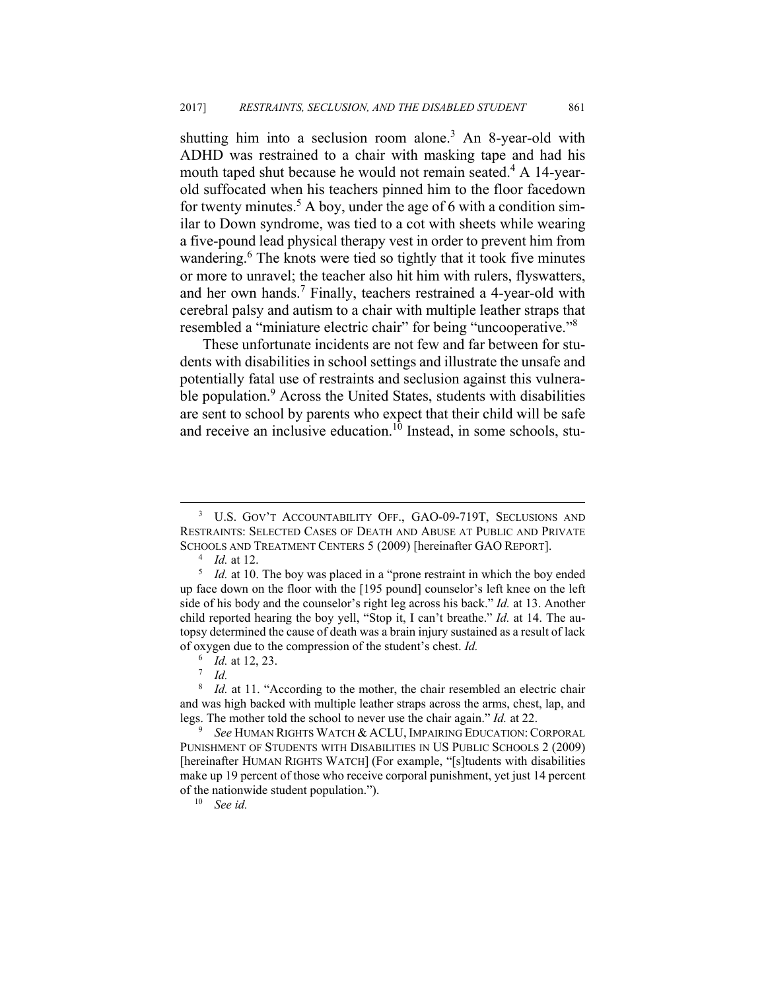shutting him into a seclusion room alone.<sup>3</sup> An 8-year-old with ADHD was restrained to a chair with masking tape and had his mouth taped shut because he would not remain seated.<sup>4</sup> A 14-yearold suffocated when his teachers pinned him to the floor facedown for twenty minutes.<sup>5</sup> A boy, under the age of 6 with a condition similar to Down syndrome, was tied to a cot with sheets while wearing a five-pound lead physical therapy vest in order to prevent him from wandering.<sup>6</sup> The knots were tied so tightly that it took five minutes or more to unravel; the teacher also hit him with rulers, flyswatters, and her own hands.<sup>7</sup> Finally, teachers restrained a 4-year-old with cerebral palsy and autism to a chair with multiple leather straps that resembled a "miniature electric chair" for being "uncooperative."8

These unfortunate incidents are not few and far between for students with disabilities in school settings and illustrate the unsafe and potentially fatal use of restraints and seclusion against this vulnerable population.<sup>9</sup> Across the United States, students with disabilities are sent to school by parents who expect that their child will be safe and receive an inclusive education.<sup>10</sup> Instead, in some schools, stu-

 <sup>3</sup> U.S. GOV'T ACCOUNTABILITY OFF., GAO-09-719T, SECLUSIONS AND RESTRAINTS: SELECTED CASES OF DEATH AND ABUSE AT PUBLIC AND PRIVATE SCHOOLS AND TREATMENT CENTERS 5 (2009) [hereinafter GAO REPORT].

 $^{4}$  *Id.* at 12.

<sup>&</sup>lt;sup>5</sup> *Id.* at 10. The boy was placed in a "prone restraint in which the boy ended up face down on the floor with the [195 pound] counselor's left knee on the left side of his body and the counselor's right leg across his back." *Id.* at 13. Another child reported hearing the boy yell, "Stop it, I can't breathe." *Id.* at 14. The autopsy determined the cause of death was a brain injury sustained as a result of lack of oxygen due to the compression of the student's chest. *Id.*

<sup>&</sup>lt;sup>6</sup> *Id.* at 12, 23.

 $^7$  *Id.* 

<sup>8</sup> *Id.* at 11. "According to the mother, the chair resembled an electric chair and was high backed with multiple leather straps across the arms, chest, lap, and legs. The mother told the school to never use the chair again." *Id.* at 22.

*See* HUMAN RIGHTS WATCH & ACLU, IMPAIRING EDUCATION: CORPORAL PUNISHMENT OF STUDENTS WITH DISABILITIES IN US PUBLIC SCHOOLS 2 (2009) [hereinafter HUMAN RIGHTS WATCH] (For example, "[s]tudents with disabilities make up 19 percent of those who receive corporal punishment, yet just 14 percent of the nationwide student population."). 10 *See id.*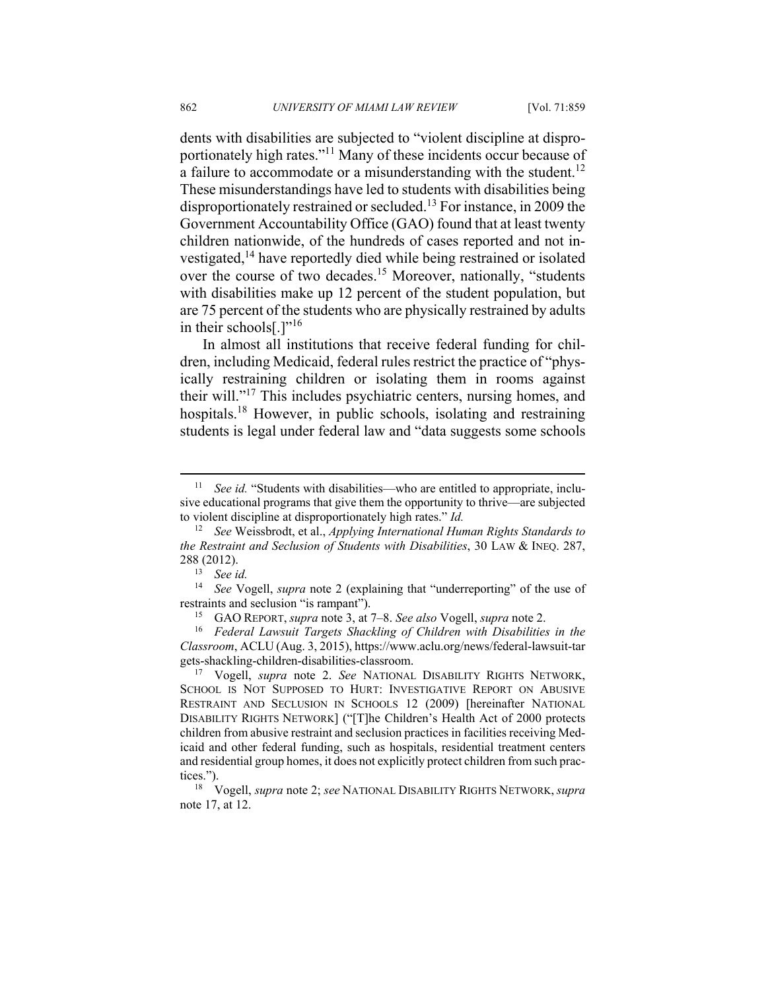dents with disabilities are subjected to "violent discipline at disproportionately high rates."11 Many of these incidents occur because of a failure to accommodate or a misunderstanding with the student.<sup>12</sup> These misunderstandings have led to students with disabilities being disproportionately restrained or secluded.13 For instance, in 2009 the Government Accountability Office (GAO) found that at least twenty children nationwide, of the hundreds of cases reported and not investigated,<sup>14</sup> have reportedly died while being restrained or isolated over the course of two decades.15 Moreover, nationally, "students with disabilities make up 12 percent of the student population, but are 75 percent of the students who are physically restrained by adults in their schools[.]"16

In almost all institutions that receive federal funding for children, including Medicaid, federal rules restrict the practice of "physically restraining children or isolating them in rooms against their will."17 This includes psychiatric centers, nursing homes, and hospitals.<sup>18</sup> However, in public schools, isolating and restraining students is legal under federal law and "data suggests some schools

<sup>&</sup>lt;sup>11</sup> See id. "Students with disabilities—who are entitled to appropriate, inclusive educational programs that give them the opportunity to thrive—are subjected to violent discipline at disproportionately high rates." *Id.* 

<sup>12</sup> *See* Weissbrodt, et al., *Applying International Human Rights Standards to the Restraint and Seclusion of Students with Disabilities*, 30 LAW & INEQ. 287, 288 (2012). 13 *See id.* 

<sup>14</sup> *See* Vogell, *supra* note 2 (explaining that "underreporting" of the use of restraints and seclusion "is rampant"). 15 GAO REPORT, *supra* note 3, at 7–8. *See also* Vogell, *supra* note 2.

<sup>16</sup> *Federal Lawsuit Targets Shackling of Children with Disabilities in the Classroom*, ACLU (Aug. 3, 2015), https://www.aclu.org/news/federal-lawsuit-tar gets-shackling-children-disabilities-classroom. 17 Vogell, *supra* note 2. *See* NATIONAL DISABILITY RIGHTS NETWORK,

SCHOOL IS NOT SUPPOSED TO HURT: INVESTIGATIVE REPORT ON ABUSIVE RESTRAINT AND SECLUSION IN SCHOOLS 12 (2009) [hereinafter NATIONAL DISABILITY RIGHTS NETWORK] ("[T]he Children's Health Act of 2000 protects children from abusive restraint and seclusion practices in facilities receiving Medicaid and other federal funding, such as hospitals, residential treatment centers and residential group homes, it does not explicitly protect children from such practices."). 18 Vogell, *supra* note 2; *see* NATIONAL DISABILITY RIGHTS NETWORK, *supra* 

note 17, at 12.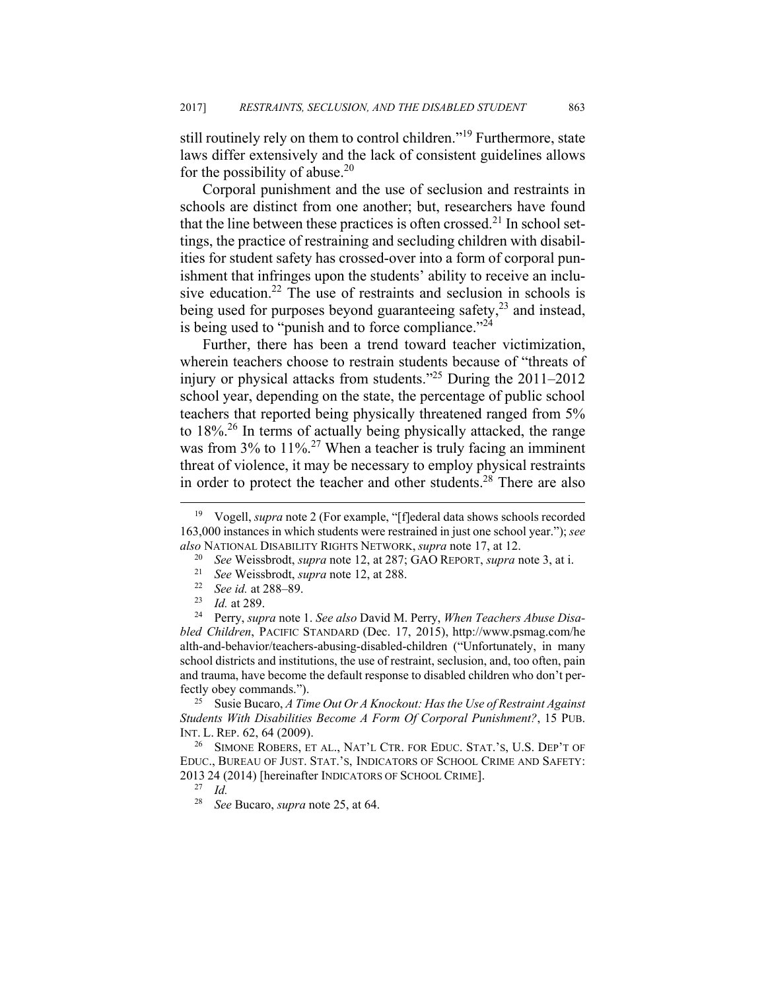still routinely rely on them to control children."19 Furthermore, state laws differ extensively and the lack of consistent guidelines allows for the possibility of abuse.<sup>20</sup>

Corporal punishment and the use of seclusion and restraints in schools are distinct from one another; but, researchers have found that the line between these practices is often crossed.<sup>21</sup> In school settings, the practice of restraining and secluding children with disabilities for student safety has crossed-over into a form of corporal punishment that infringes upon the students' ability to receive an inclusive education.<sup>22</sup> The use of restraints and seclusion in schools is being used for purposes beyond guaranteeing safety,<sup>23</sup> and instead, is being used to "punish and to force compliance."<sup>24</sup>

Further, there has been a trend toward teacher victimization, wherein teachers choose to restrain students because of "threats of injury or physical attacks from students."25 During the 2011–2012 school year, depending on the state, the percentage of public school teachers that reported being physically threatened ranged from 5% to  $18\%$ <sup>26</sup>. In terms of actually being physically attacked, the range was from 3% to 11%.<sup>27</sup> When a teacher is truly facing an imminent threat of violence, it may be necessary to employ physical restraints in order to protect the teacher and other students.<sup>28</sup> There are also

*bled Children*, PACIFIC STANDARD (Dec. 17, 2015), http://www.psmag.com/he alth-and-behavior/teachers-abusing-disabled-children ("Unfortunately, in many school districts and institutions, the use of restraint, seclusion, and, too often, pain and trauma, have become the default response to disabled children who don't perfectly obey commands."). 25 Susie Bucaro, *A Time Out Or A Knockout: Has the Use of Restraint Against* 

*Students With Disabilities Become A Form Of Corporal Punishment?*, 15 PUB. INT. L. REP. 62, 64 (2009).<br><sup>26</sup> SIMONE ROBERS, ET AL., NAT'L CTR. FOR EDUC. STAT.'S, U.S. DEP'T OF

EDUC., BUREAU OF JUST. STAT.'S, INDICATORS OF SCHOOL CRIME AND SAFETY: <sup>2013</sup> 24 (2014) [hereinafter INDICATORS OF SCHOOL CRIME]. 27 *Id.* 

 <sup>19</sup> Vogell, *supra* note 2 (For example, "[f]ederal data shows schools recorded 163,000 instances in which students were restrained in just one school year."); *see*  also NATIONAL DISABILITY RIGHTS NETWORK, *supra* note 17, at 12.<br><sup>20</sup> See Weissbrodt, *supra* note 12, at 287; GAO REPORT, *supra* note 3, at i.<br><sup>21</sup> See Weissbrodt, *supra* note 12, at 288.<br><sup>22</sup> See id. at 288–89.<br><sup>23</sup> Id

<sup>28</sup> *See* Bucaro, *supra* note 25, at 64.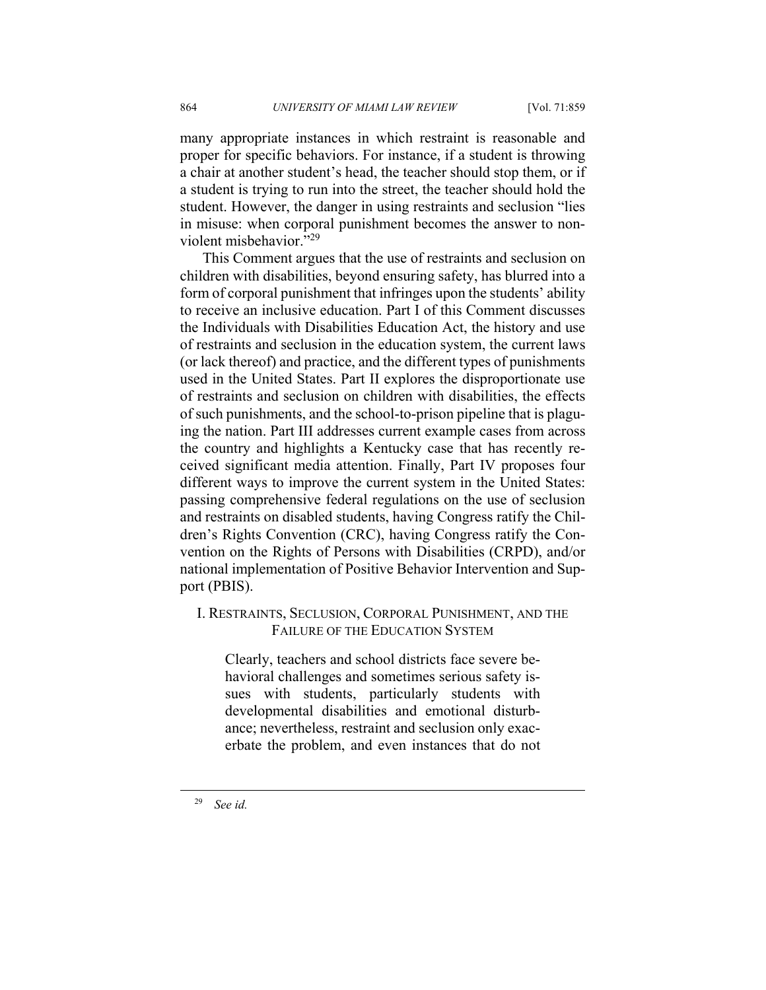many appropriate instances in which restraint is reasonable and proper for specific behaviors. For instance, if a student is throwing a chair at another student's head, the teacher should stop them, or if a student is trying to run into the street, the teacher should hold the student. However, the danger in using restraints and seclusion "lies in misuse: when corporal punishment becomes the answer to nonviolent misbehavior."29

This Comment argues that the use of restraints and seclusion on children with disabilities, beyond ensuring safety, has blurred into a form of corporal punishment that infringes upon the students' ability to receive an inclusive education. Part I of this Comment discusses the Individuals with Disabilities Education Act, the history and use of restraints and seclusion in the education system, the current laws (or lack thereof) and practice, and the different types of punishments used in the United States. Part II explores the disproportionate use of restraints and seclusion on children with disabilities, the effects of such punishments, and the school-to-prison pipeline that is plaguing the nation. Part III addresses current example cases from across the country and highlights a Kentucky case that has recently received significant media attention. Finally, Part IV proposes four different ways to improve the current system in the United States: passing comprehensive federal regulations on the use of seclusion and restraints on disabled students, having Congress ratify the Children's Rights Convention (CRC), having Congress ratify the Convention on the Rights of Persons with Disabilities (CRPD), and/or national implementation of Positive Behavior Intervention and Support (PBIS).

## I. RESTRAINTS, SECLUSION, CORPORAL PUNISHMENT, AND THE FAILURE OF THE EDUCATION SYSTEM

Clearly, teachers and school districts face severe behavioral challenges and sometimes serious safety issues with students, particularly students with developmental disabilities and emotional disturbance; nevertheless, restraint and seclusion only exacerbate the problem, and even instances that do not

29 *See id.*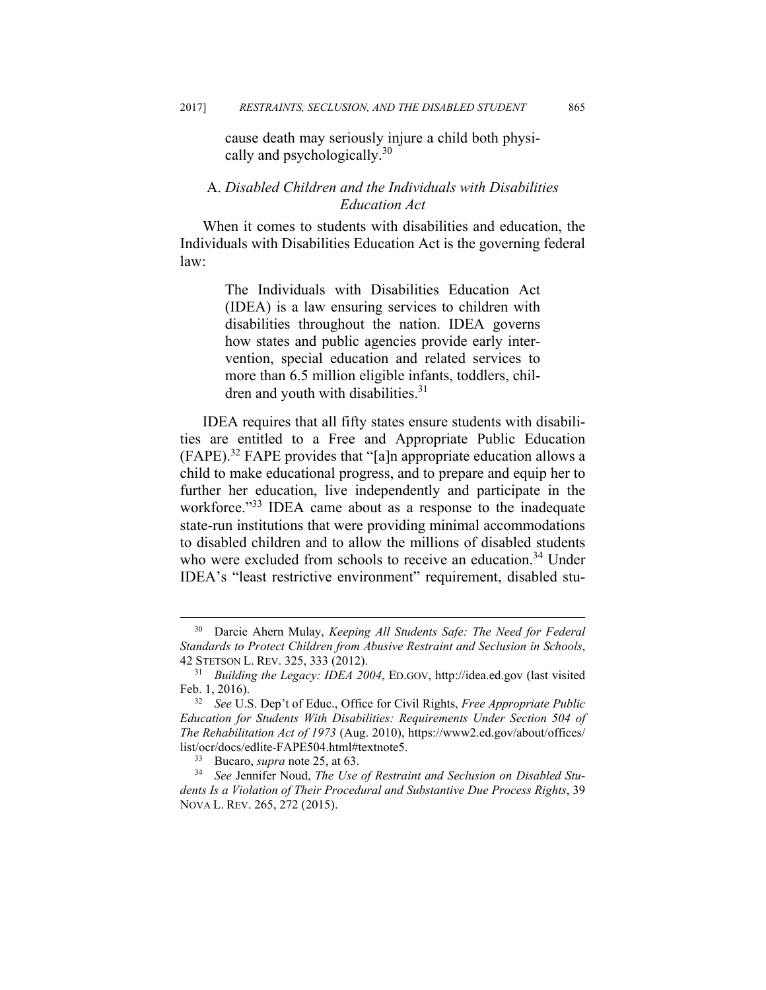cause death may seriously injure a child both physically and psychologically.<sup>30</sup>

## A. *Disabled Children and the Individuals with Disabilities Education Act*

When it comes to students with disabilities and education, the Individuals with Disabilities Education Act is the governing federal law:

> The Individuals with Disabilities Education Act (IDEA) is a law ensuring services to children with disabilities throughout the nation. IDEA governs how states and public agencies provide early intervention, special education and related services to more than 6.5 million eligible infants, toddlers, children and youth with disabilities.<sup>31</sup>

IDEA requires that all fifty states ensure students with disabilities are entitled to a Free and Appropriate Public Education (FAPE).32 FAPE provides that "[a]n appropriate education allows a child to make educational progress, and to prepare and equip her to further her education, live independently and participate in the workforce."<sup>33</sup> IDEA came about as a response to the inadequate state-run institutions that were providing minimal accommodations to disabled children and to allow the millions of disabled students who were excluded from schools to receive an education.<sup>34</sup> Under IDEA's "least restrictive environment" requirement, disabled stu-

 <sup>30</sup> Darcie Ahern Mulay, *Keeping All Students Safe: The Need for Federal Standards to Protect Children from Abusive Restraint and Seclusion in Schools*, 42 STETSON L. REV. 325, 333 (2012). 31 *Building the Legacy: IDEA 2004*, ED.GOV, http://idea.ed.gov (last visited

Feb. 1, 2016). 32 *See* U.S. Dep't of Educ., Office for Civil Rights, *Free Appropriate Public* 

*Education for Students With Disabilities: Requirements Under Section 504 of The Rehabilitation Act of 1973* (Aug. 2010), https://www2.ed.gov/about/offices/ list/ocr/docs/edlite-FAPE504.html#textnote5.

<sup>33</sup> Bucaro, *supra* note 25, at 63. 34 *See* Jennifer Noud, *The Use of Restraint and Seclusion on Disabled Students Is a Violation of Their Procedural and Substantive Due Process Rights*, 39 NOVA L. REV. 265, 272 (2015).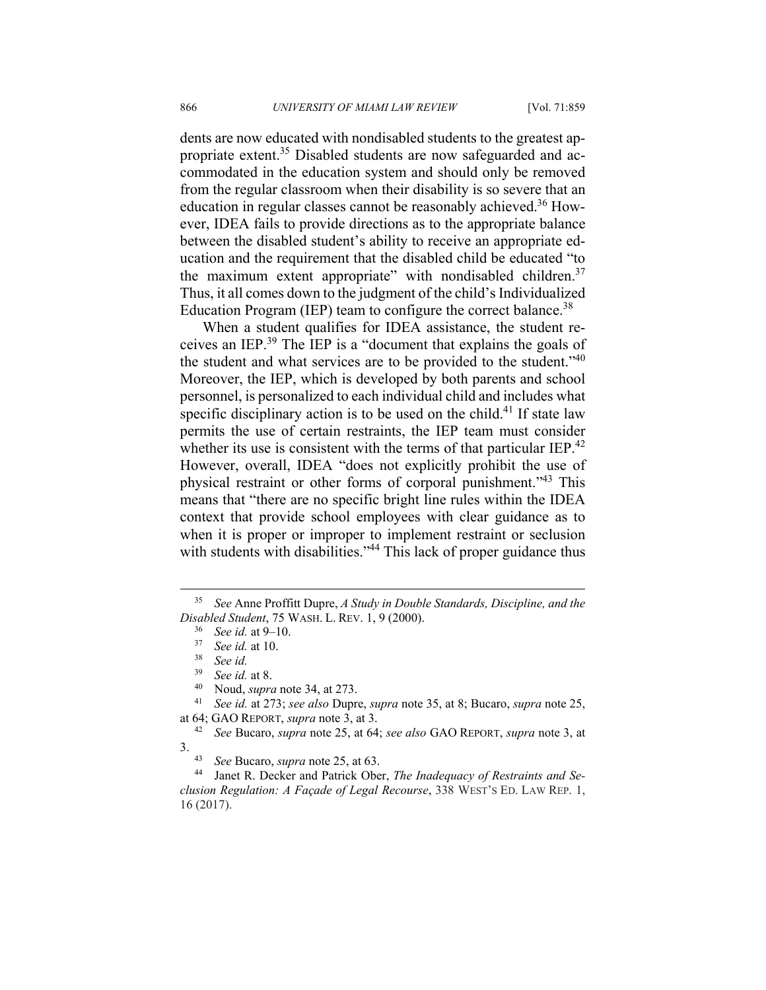dents are now educated with nondisabled students to the greatest appropriate extent.<sup>35</sup> Disabled students are now safeguarded and accommodated in the education system and should only be removed from the regular classroom when their disability is so severe that an education in regular classes cannot be reasonably achieved.<sup>36</sup> However, IDEA fails to provide directions as to the appropriate balance between the disabled student's ability to receive an appropriate education and the requirement that the disabled child be educated "to the maximum extent appropriate" with nondisabled children.<sup>37</sup> Thus, it all comes down to the judgment of the child's Individualized Education Program (IEP) team to configure the correct balance.<sup>38</sup>

When a student qualifies for IDEA assistance, the student receives an IEP.39 The IEP is a "document that explains the goals of the student and what services are to be provided to the student."40 Moreover, the IEP, which is developed by both parents and school personnel, is personalized to each individual child and includes what specific disciplinary action is to be used on the child.<sup>41</sup> If state law permits the use of certain restraints, the IEP team must consider whether its use is consistent with the terms of that particular IEP.<sup>42</sup> However, overall, IDEA "does not explicitly prohibit the use of physical restraint or other forms of corporal punishment."43 This means that "there are no specific bright line rules within the IDEA context that provide school employees with clear guidance as to when it is proper or improper to implement restraint or seclusion with students with disabilities."<sup>44</sup> This lack of proper guidance thus

 <sup>35</sup> *See* Anne Proffitt Dupre, *A Study in Double Standards, Discipline, and the Disabled Student*, 75 WASH. L. REV. 1, 9 (2000).<br><sup>36</sup> *See id.* at 9–10.<br><sup>37</sup> *See id.* at 10.<br><sup>38</sup> *See id.* at 8<sup>9</sup>

<sup>39</sup> *See id.* at 8. 40 Noud, *supra* note 34, at 273. 41 *See id.* at 273; *see also* Dupre, *supra* note 35, at 8; Bucaro, *supra* note 25, at 64; GAO REPORT, *supra* note 3, at 3. 42 *See* Bucaro, *supra* note 25, at 64; *see also* GAO REPORT, *supra* note 3, at

<sup>3. 43</sup> *See* Bucaro, *supra* note 25, at 63. 44 Janet R. Decker and Patrick Ober, *The Inadequacy of Restraints and Se-*

*clusion Regulation: A Façade of Legal Recourse*, 338 WEST'S ED. LAW REP. 1, 16 (2017).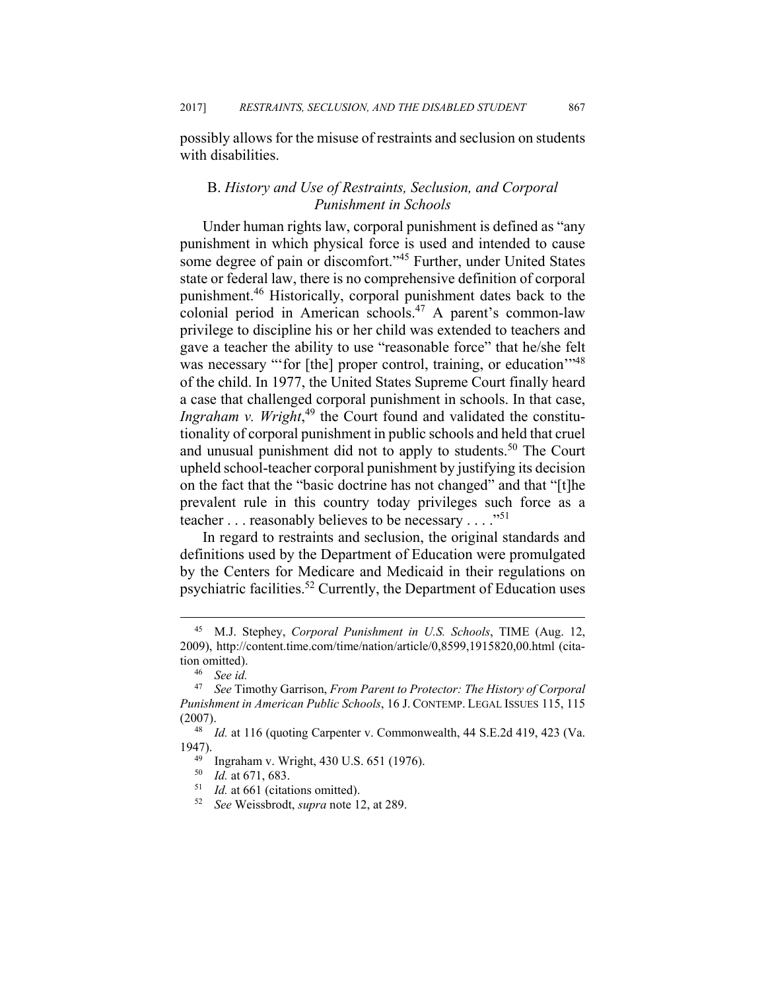possibly allows for the misuse of restraints and seclusion on students with disabilities.

## B. *History and Use of Restraints, Seclusion, and Corporal Punishment in Schools*

Under human rights law, corporal punishment is defined as "any punishment in which physical force is used and intended to cause some degree of pain or discomfort."<sup>45</sup> Further, under United States state or federal law, there is no comprehensive definition of corporal punishment.46 Historically, corporal punishment dates back to the colonial period in American schools.<sup>47</sup> A parent's common-law privilege to discipline his or her child was extended to teachers and gave a teacher the ability to use "reasonable force" that he/she felt was necessary "'for [the] proper control, training, or education"<sup>48</sup> of the child. In 1977, the United States Supreme Court finally heard a case that challenged corporal punishment in schools. In that case, Ingraham v. Wright,<sup>49</sup> the Court found and validated the constitutionality of corporal punishment in public schools and held that cruel and unusual punishment did not to apply to students.<sup>50</sup> The Court upheld school-teacher corporal punishment by justifying its decision on the fact that the "basic doctrine has not changed" and that "[t]he prevalent rule in this country today privileges such force as a teacher . . . reasonably believes to be necessary . . . ."<sup>51</sup>

In regard to restraints and seclusion, the original standards and definitions used by the Department of Education were promulgated by the Centers for Medicare and Medicaid in their regulations on psychiatric facilities.52 Currently, the Department of Education uses

 <sup>45</sup> M.J. Stephey, *Corporal Punishment in U.S. Schools*, TIME (Aug. 12, 2009), http://content.time.com/time/nation/article/0,8599,1915820,00.html (citation omitted).<br> $^{46}$  *See id.*<br> $^{47}$  *See Tir* 

<sup>47</sup> *See* Timothy Garrison, *From Parent to Protector: The History of Corporal Punishment in American Public Schools*, 16 J. CONTEMP. LEGAL ISSUES 115, 115 (2007). 48 *Id.* at 116 (quoting Carpenter v. Commonwealth, 44 S.E.2d 419, 423 (Va.

<sup>1947).&</sup>lt;br><sup>49</sup> Ingraham v. Wright, 430 U.S. 651 (1976).<br><sup>50</sup> Id at 671, 683

<sup>50</sup> *Id.* at 671, 683. 51 *Id.* at 661 (citations omitted). 52 *See* Weissbrodt, *supra* note 12, at 289.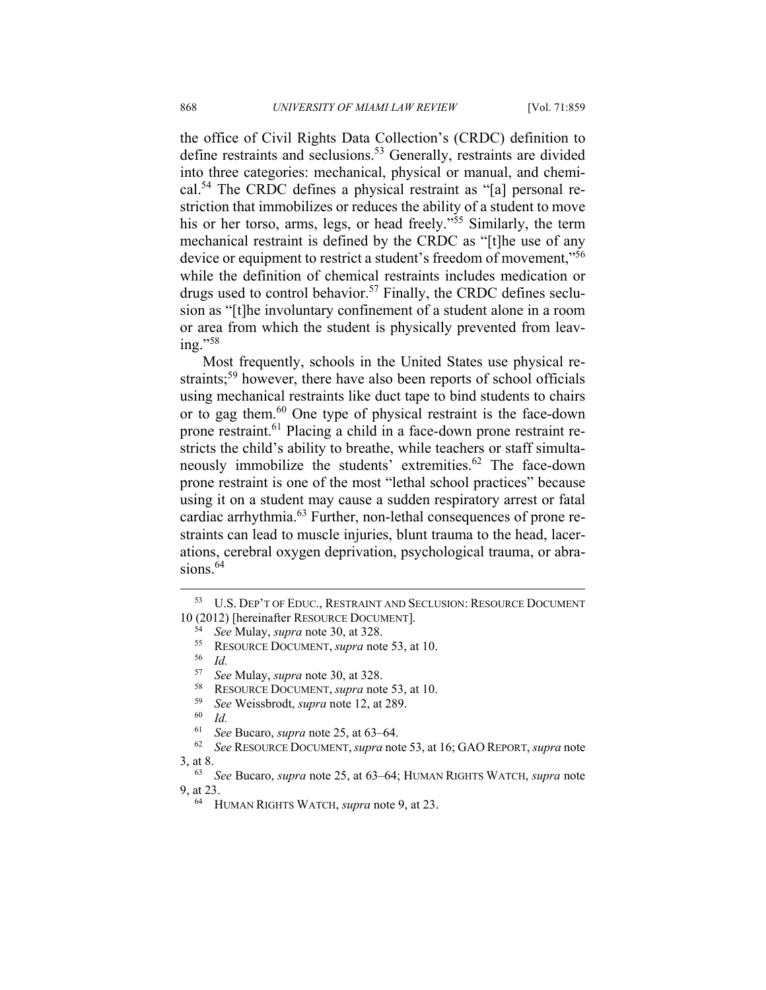the office of Civil Rights Data Collection's (CRDC) definition to define restraints and seclusions.53 Generally, restraints are divided into three categories: mechanical, physical or manual, and chemical.54 The CRDC defines a physical restraint as "[a] personal restriction that immobilizes or reduces the ability of a student to move his or her torso, arms, legs, or head freely."<sup>55</sup> Similarly, the term mechanical restraint is defined by the CRDC as "[t]he use of any device or equipment to restrict a student's freedom of movement,<sup>356</sup> while the definition of chemical restraints includes medication or drugs used to control behavior.<sup>57</sup> Finally, the CRDC defines seclusion as "[t]he involuntary confinement of a student alone in a room or area from which the student is physically prevented from leaving."58

Most frequently, schools in the United States use physical restraints;<sup>59</sup> however, there have also been reports of school officials using mechanical restraints like duct tape to bind students to chairs or to gag them.60 One type of physical restraint is the face-down prone restraint.61 Placing a child in a face-down prone restraint restricts the child's ability to breathe, while teachers or staff simultaneously immobilize the students' extremities.<sup>62</sup> The face-down prone restraint is one of the most "lethal school practices" because using it on a student may cause a sudden respiratory arrest or fatal cardiac arrhythmia.63 Further, non-lethal consequences of prone restraints can lead to muscle injuries, blunt trauma to the head, lacerations, cerebral oxygen deprivation, psychological trauma, or abrasions. $64$ 

 <sup>53</sup> U.S. DEP'T OF EDUC., RESTRAINT AND SECLUSION: RESOURCE DOCUMENT 10 (2012) [hereinafter RESOURCE DOCUMENT].<br><sup>54</sup> *See* Mulay, *supra* note 30, at 328.<br><sup>55</sup> RESOURCE DOCUMENT, *supra* note 53, at 10.<br><sup>56</sup> *Id.*<br><sup>57</sup> *See* Mulay, *supra* note 30, at 328.

<sup>57</sup> See Mulay, *supra* note 30, at 328.<br>
<sup>58</sup> RESOURCE DOCUMENT, *supra* note 53, at 10.<br>
<sup>59</sup> See Weissbrodt, *supra* note 12, at 289.<br>
<sup>61</sup> See Buence *supra* pote 25, at 63, 64

<sup>61</sup> *See* Bucaro, *supra* note 25, at 63–64. 62 *See* RESOURCE DOCUMENT,*supra* note 53, at 16; GAO REPORT, *supra* note 3, at 8. 63 *See* Bucaro, *supra* note 25, at 63–64; HUMAN RIGHTS WATCH, *supra* note

<sup>9,</sup> at 23. 64 HUMAN RIGHTS WATCH, *supra* note 9, at 23.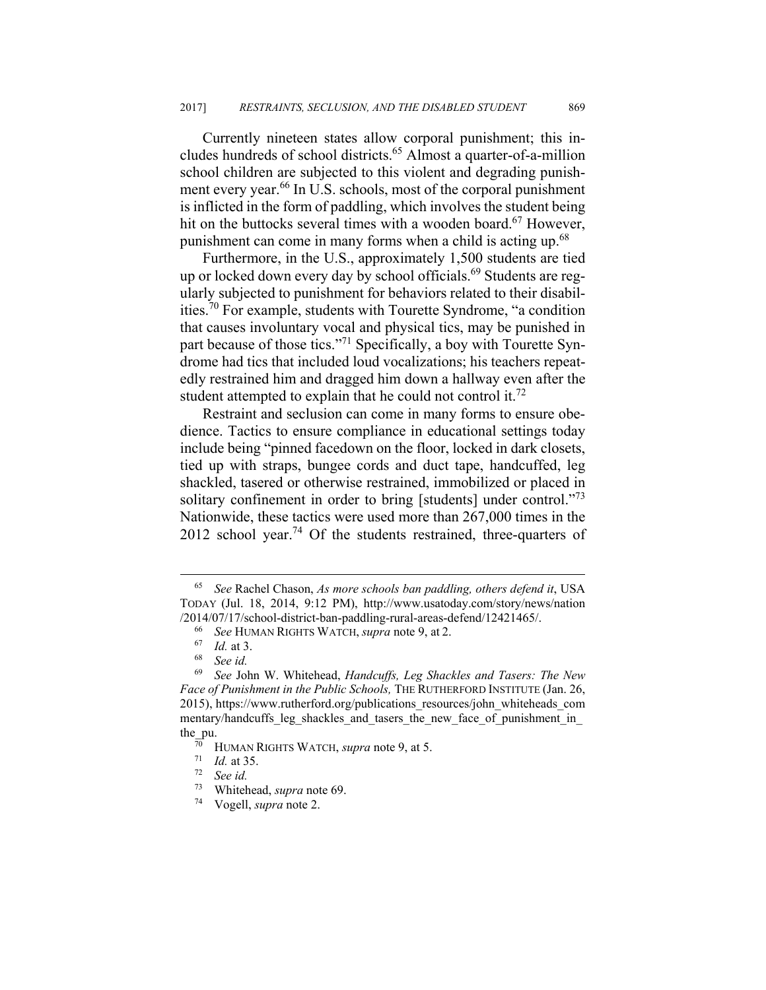Currently nineteen states allow corporal punishment; this includes hundreds of school districts.<sup>65</sup> Almost a quarter-of-a-million school children are subjected to this violent and degrading punishment every year.<sup>66</sup> In U.S. schools, most of the corporal punishment is inflicted in the form of paddling, which involves the student being hit on the buttocks several times with a wooden board.<sup>67</sup> However, punishment can come in many forms when a child is acting up.<sup>68</sup>

Furthermore, in the U.S., approximately 1,500 students are tied up or locked down every day by school officials.<sup>69</sup> Students are regularly subjected to punishment for behaviors related to their disabilities.70 For example, students with Tourette Syndrome, "a condition that causes involuntary vocal and physical tics, may be punished in part because of those tics."<sup>71</sup> Specifically, a boy with Tourette Syndrome had tics that included loud vocalizations; his teachers repeatedly restrained him and dragged him down a hallway even after the student attempted to explain that he could not control it.<sup>72</sup>

Restraint and seclusion can come in many forms to ensure obedience. Tactics to ensure compliance in educational settings today include being "pinned facedown on the floor, locked in dark closets, tied up with straps, bungee cords and duct tape, handcuffed, leg shackled, tasered or otherwise restrained, immobilized or placed in solitary confinement in order to bring [students] under control."<sup>73</sup> Nationwide, these tactics were used more than 267,000 times in the  $2012$  school year.<sup>74</sup> Of the students restrained, three-quarters of

 <sup>65</sup> *See* Rachel Chason, *As more schools ban paddling, others defend it*, USA TODAY (Jul. 18, 2014, 9:12 PM), http://www.usatoday.com/story/news/nation /2014/07/17/school-district-ban-paddling-rural-areas-defend/12421465/. 66 *See* HUMAN RIGHTS WATCH, *supra* note 9, at 2. 67 *Id.* at 3. 68 *See id.* 

<sup>69</sup> *See* John W. Whitehead, *Handcuffs, Leg Shackles and Tasers: The New Face of Punishment in the Public Schools,* THE RUTHERFORD INSTITUTE (Jan. 26, 2015), https://www.rutherford.org/publications\_resources/john\_whiteheads\_com mentary/handcuffs leg\_shackles\_and\_tasers\_the\_new\_face\_of\_punishment\_in the\_pu.<br>
<sup>70</sup> HUMAN RIGHTS WATCH, *supra* note 9, at 5.<br>
<sup>71</sup> *Id.* at 35.<br>
<sup>72</sup> *See id.* 

<sup>73</sup> Whitehead, *supra* note 69. 74 Vogell, *supra* note 2.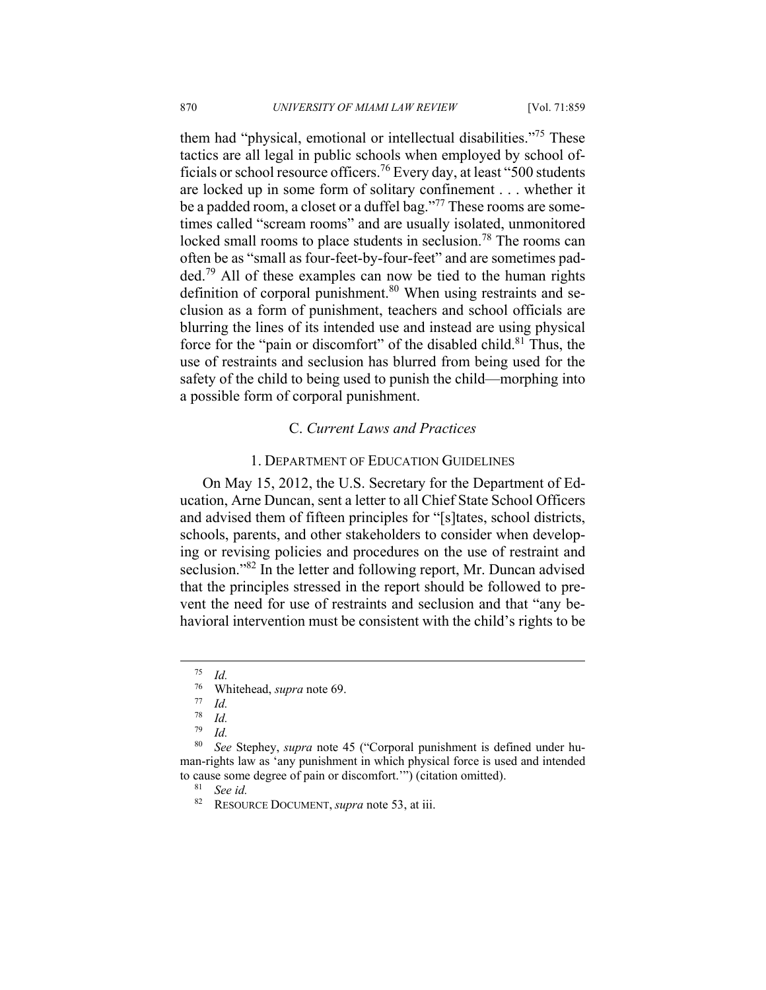them had "physical, emotional or intellectual disabilities."75 These tactics are all legal in public schools when employed by school officials or school resource officers.76 Every day, at least "500 students are locked up in some form of solitary confinement . . . whether it be a padded room, a closet or a duffel bag."<sup>77</sup> These rooms are sometimes called "scream rooms" and are usually isolated, unmonitored locked small rooms to place students in seclusion.<sup>78</sup> The rooms can often be as "small as four-feet-by-four-feet" and are sometimes padded.79 All of these examples can now be tied to the human rights definition of corporal punishment.<sup>80</sup> When using restraints and seclusion as a form of punishment, teachers and school officials are blurring the lines of its intended use and instead are using physical force for the "pain or discomfort" of the disabled child. $81$  Thus, the use of restraints and seclusion has blurred from being used for the safety of the child to being used to punish the child—morphing into a possible form of corporal punishment.

## C. *Current Laws and Practices*

#### 1. DEPARTMENT OF EDUCATION GUIDELINES

On May 15, 2012, the U.S. Secretary for the Department of Education, Arne Duncan, sent a letter to all Chief State School Officers and advised them of fifteen principles for "[s]tates, school districts, schools, parents, and other stakeholders to consider when developing or revising policies and procedures on the use of restraint and seclusion."<sup>82</sup> In the letter and following report, Mr. Duncan advised that the principles stressed in the report should be followed to prevent the need for use of restraints and seclusion and that "any behavioral intervention must be consistent with the child's rights to be

 $\frac{75}{76}$  *Id.* 

<sup>&</sup>lt;sup>76</sup> Whitehead, *supra* note 69.

<sup>77</sup> *Id.* 

 $\frac{78}{79}$  *Id.* 

<sup>79</sup> *Id.*

<sup>80</sup> *See* Stephey, *supra* note 45 ("Corporal punishment is defined under human-rights law as 'any punishment in which physical force is used and intended to cause some degree of pain or discomfort.'") (citation omitted). 81 *See id.*

<sup>82</sup> RESOURCE DOCUMENT, *supra* note 53, at iii.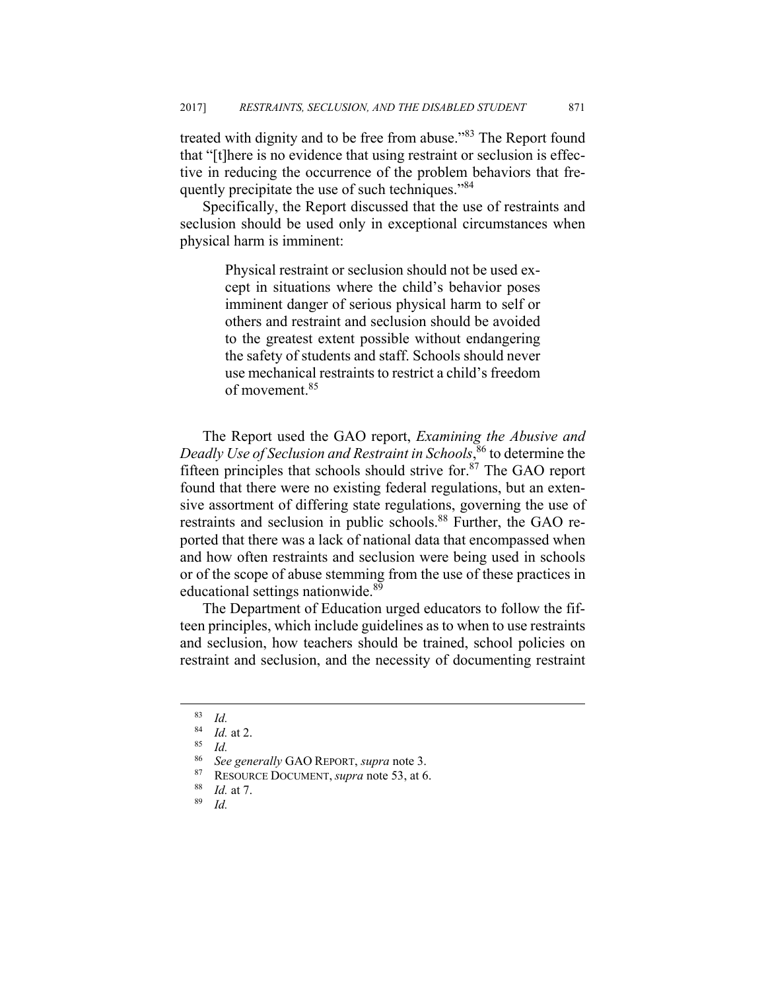treated with dignity and to be free from abuse."83 The Report found that "[t]here is no evidence that using restraint or seclusion is effective in reducing the occurrence of the problem behaviors that frequently precipitate the use of such techniques."<sup>84</sup>

Specifically, the Report discussed that the use of restraints and seclusion should be used only in exceptional circumstances when physical harm is imminent:

> Physical restraint or seclusion should not be used except in situations where the child's behavior poses imminent danger of serious physical harm to self or others and restraint and seclusion should be avoided to the greatest extent possible without endangering the safety of students and staff. Schools should never use mechanical restraints to restrict a child's freedom of movement.<sup>85</sup>

The Report used the GAO report, *Examining the Abusive and Deadly Use of Seclusion and Restraint in Schools*, 86 to determine the fifteen principles that schools should strive for. $87$  The GAO report found that there were no existing federal regulations, but an extensive assortment of differing state regulations, governing the use of restraints and seclusion in public schools.<sup>88</sup> Further, the GAO reported that there was a lack of national data that encompassed when and how often restraints and seclusion were being used in schools or of the scope of abuse stemming from the use of these practices in educational settings nationwide.<sup>89</sup>

The Department of Education urged educators to follow the fifteen principles, which include guidelines as to when to use restraints and seclusion, how teachers should be trained, school policies on restraint and seclusion, and the necessity of documenting restraint

 $\begin{array}{cc} 83 & Id. \\ 84 & I. \end{array}$ 

<sup>84</sup> *Id.* at 2. 85 *Id.*

<sup>86</sup> *See generally* GAO REPORT, *supra* note 3. 87 RESOURCE DOCUMENT, *supra* note 53, at 6. 88 *Id.* at 7. 89 *Id.*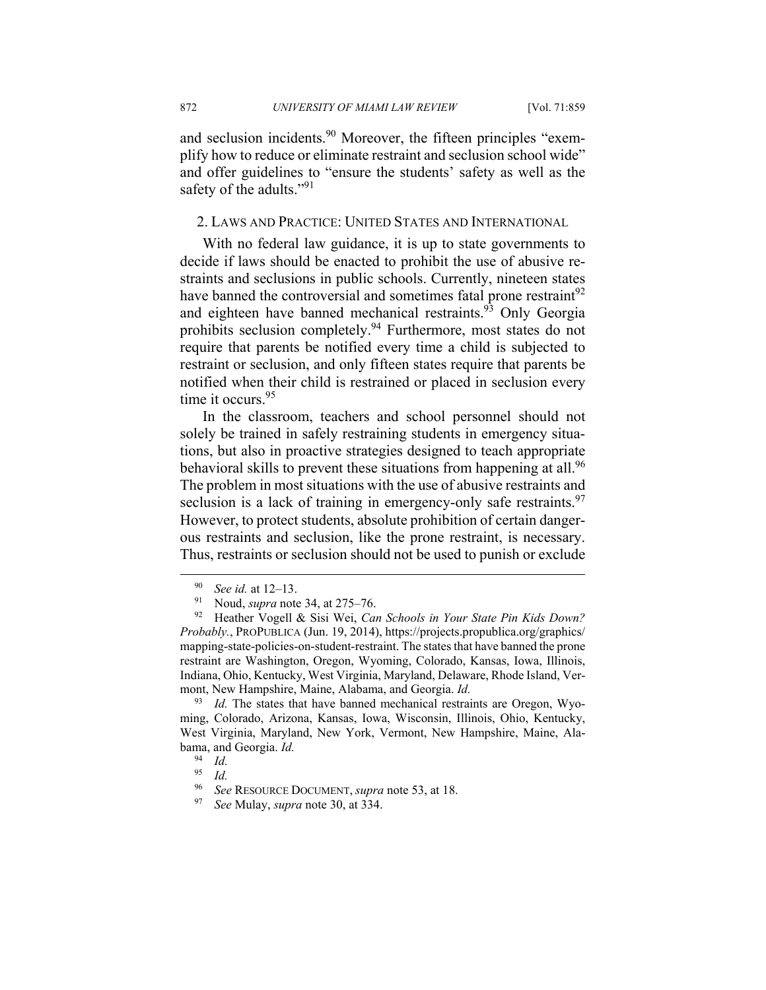and seclusion incidents.<sup>90</sup> Moreover, the fifteen principles "exemplify how to reduce or eliminate restraint and seclusion school wide" and offer guidelines to "ensure the students' safety as well as the safety of the adults."<sup>91</sup>

### 2. LAWS AND PRACTICE: UNITED STATES AND INTERNATIONAL

With no federal law guidance, it is up to state governments to decide if laws should be enacted to prohibit the use of abusive restraints and seclusions in public schools. Currently, nineteen states have banned the controversial and sometimes fatal prone restraint<sup>92</sup> and eighteen have banned mechanical restraints.<sup>93</sup> Only Georgia prohibits seclusion completely.94 Furthermore, most states do not require that parents be notified every time a child is subjected to restraint or seclusion, and only fifteen states require that parents be notified when their child is restrained or placed in seclusion every time it occurs.<sup>95</sup>

In the classroom, teachers and school personnel should not solely be trained in safely restraining students in emergency situations, but also in proactive strategies designed to teach appropriate behavioral skills to prevent these situations from happening at all.<sup>96</sup> The problem in most situations with the use of abusive restraints and seclusion is a lack of training in emergency-only safe restraints.  $97$ However, to protect students, absolute prohibition of certain dangerous restraints and seclusion, like the prone restraint, is necessary. Thus, restraints or seclusion should not be used to punish or exclude

<sup>93</sup> *Id.* The states that have banned mechanical restraints are Oregon, Wyoming, Colorado, Arizona, Kansas, Iowa, Wisconsin, Illinois, Ohio, Kentucky, West Virginia, Maryland, New York, Vermont, New Hampshire, Maine, Alabama, and Georgia. *Id.* 

<sup>90</sup> *See id.* at 12–13. 91 Noud, *supra* note 34, at 275–76. 92 Heather Vogell & Sisi Wei, *Can Schools in Your State Pin Kids Down? Probably.*, PROPUBLICA (Jun. 19, 2014), https://projects.propublica.org/graphics/ mapping-state-policies-on-student-restraint. The states that have banned the prone restraint are Washington, Oregon, Wyoming, Colorado, Kansas, Iowa, Illinois, Indiana, Ohio, Kentucky, West Virginia, Maryland, Delaware, Rhode Island, Vermont, New Hampshire, Maine, Alabama, and Georgia. *Id.* 

 $\frac{94}{95}$  *Id.* 

*Id.* 

<sup>96</sup> *See* RESOURCE DOCUMENT, *supra* note 53, at 18. 97 *See* Mulay, *supra* note 30, at 334.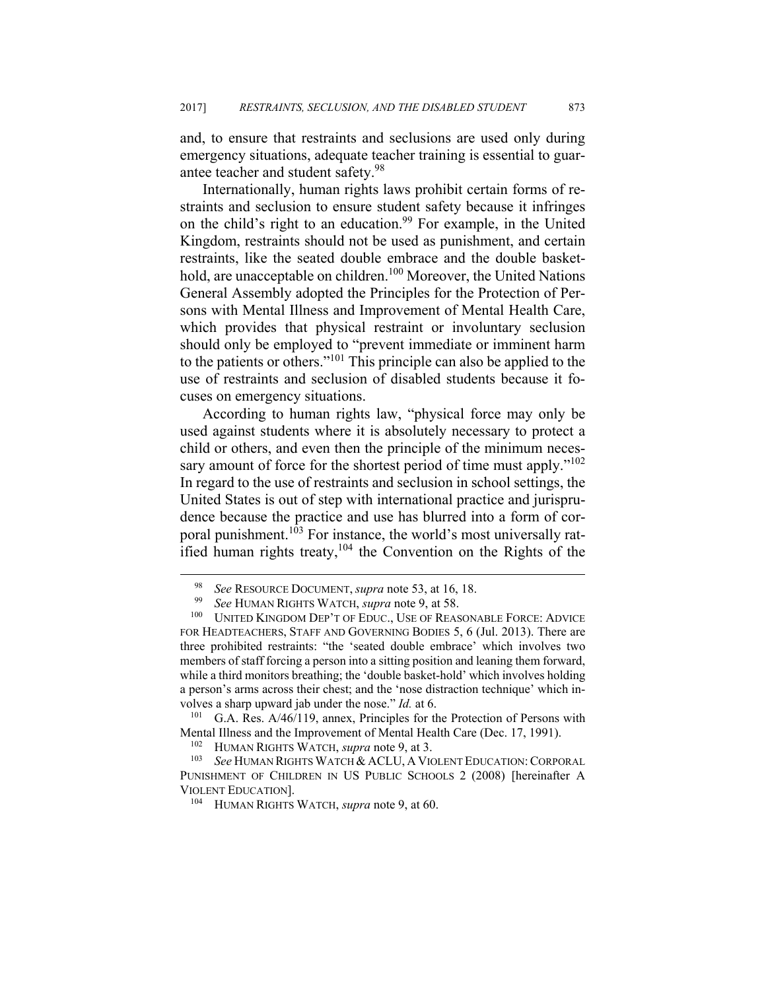and, to ensure that restraints and seclusions are used only during emergency situations, adequate teacher training is essential to guarantee teacher and student safety.<sup>98</sup>

Internationally, human rights laws prohibit certain forms of restraints and seclusion to ensure student safety because it infringes on the child's right to an education.<sup>99</sup> For example, in the United Kingdom, restraints should not be used as punishment, and certain restraints, like the seated double embrace and the double baskethold, are unacceptable on children.<sup>100</sup> Moreover, the United Nations General Assembly adopted the Principles for the Protection of Persons with Mental Illness and Improvement of Mental Health Care, which provides that physical restraint or involuntary seclusion should only be employed to "prevent immediate or imminent harm to the patients or others."101 This principle can also be applied to the use of restraints and seclusion of disabled students because it focuses on emergency situations.

According to human rights law, "physical force may only be used against students where it is absolutely necessary to protect a child or others, and even then the principle of the minimum necessary amount of force for the shortest period of time must apply."<sup>102</sup> In regard to the use of restraints and seclusion in school settings, the United States is out of step with international practice and jurisprudence because the practice and use has blurred into a form of corporal punishment.<sup>103</sup> For instance, the world's most universally ratified human rights treaty,<sup>104</sup> the Convention on the Rights of the

Mental Illness and the Improvement of Mental Health Care (Dec. 17, 1991).<br><sup>102</sup> HUMAN RIGHTS WATCH, *supra* note 9, at 3.<br><sup>103</sup> See HUMAN RIGHTS WATCH & ACLU, A VIOLENT EDUCATION: CORPORAL

<sup>&</sup>lt;sup>98</sup> See RESOURCE DOCUMENT, *supra* note 53, at 16, 18.<br><sup>99</sup> See HUMAN RIGHTS WATCH, *supra* note 9, at 58.<br><sup>100</sup> UNITED KINGDOM DEP'T OF EDUC., USE OF REASONABLE FORCE: ADVICE FOR HEADTEACHERS, STAFF AND GOVERNING BODIES 5, 6 (Jul. 2013). There are three prohibited restraints: "the 'seated double embrace' which involves two members of staff forcing a person into a sitting position and leaning them forward, while a third monitors breathing; the 'double basket-hold' which involves holding a person's arms across their chest; and the 'nose distraction technique' which involves a sharp upward jab under the nose." *Id.* at 6.<br><sup>101</sup> G.A. Res. A/46/119, annex, Principles for the Protection of Persons with

PUNISHMENT OF CHILDREN IN US PUBLIC SCHOOLS 2 (2008) [hereinafter A VIOLENT EDUCATION]. 104 HUMAN RIGHTS WATCH, *supra* note 9, at 60.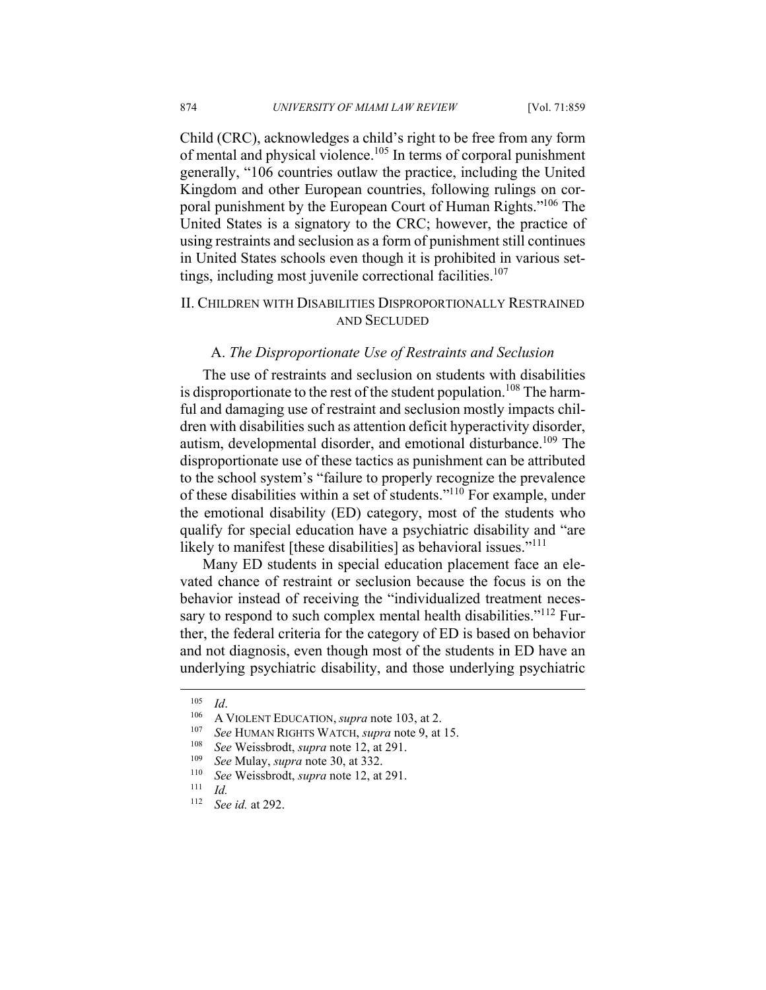Child (CRC), acknowledges a child's right to be free from any form of mental and physical violence.<sup>105</sup> In terms of corporal punishment generally, "106 countries outlaw the practice, including the United Kingdom and other European countries, following rulings on corporal punishment by the European Court of Human Rights."<sup>106</sup> The United States is a signatory to the CRC; however, the practice of using restraints and seclusion as a form of punishment still continues in United States schools even though it is prohibited in various settings, including most juvenile correctional facilities.<sup>107</sup>

## II. CHILDREN WITH DISABILITIES DISPROPORTIONALLY RESTRAINED AND SECLUDED

#### A. *The Disproportionate Use of Restraints and Seclusion*

The use of restraints and seclusion on students with disabilities is disproportionate to the rest of the student population.<sup>108</sup> The harmful and damaging use of restraint and seclusion mostly impacts children with disabilities such as attention deficit hyperactivity disorder, autism, developmental disorder, and emotional disturbance.<sup>109</sup> The disproportionate use of these tactics as punishment can be attributed to the school system's "failure to properly recognize the prevalence of these disabilities within a set of students."110 For example, under the emotional disability (ED) category, most of the students who qualify for special education have a psychiatric disability and "are likely to manifest [these disabilities] as behavioral issues."<sup>111</sup>

Many ED students in special education placement face an elevated chance of restraint or seclusion because the focus is on the behavior instead of receiving the "individualized treatment necessary to respond to such complex mental health disabilities."<sup>112</sup> Further, the federal criteria for the category of ED is based on behavior and not diagnosis, even though most of the students in ED have an underlying psychiatric disability, and those underlying psychiatric

<sup>&</sup>lt;sup>105</sup> *Id.*<br>
<sup>106</sup> A VIOLENT EDUCATION, *supra* note 103, at 2.<br>
<sup>107</sup> *See* HUMAN RIGHTS WATCH, *supra* note 9, at 15.<br>
<sup>108</sup> *See* Weissbrodt, *supra* note 12, at 291.<br>
<sup>109</sup> *See* Mulay, *supra* note 30, at 332.<br>
<sup>110</sup>

 $\frac{111}{112}$  *Id.* 

<sup>112</sup> *See id.* at 292.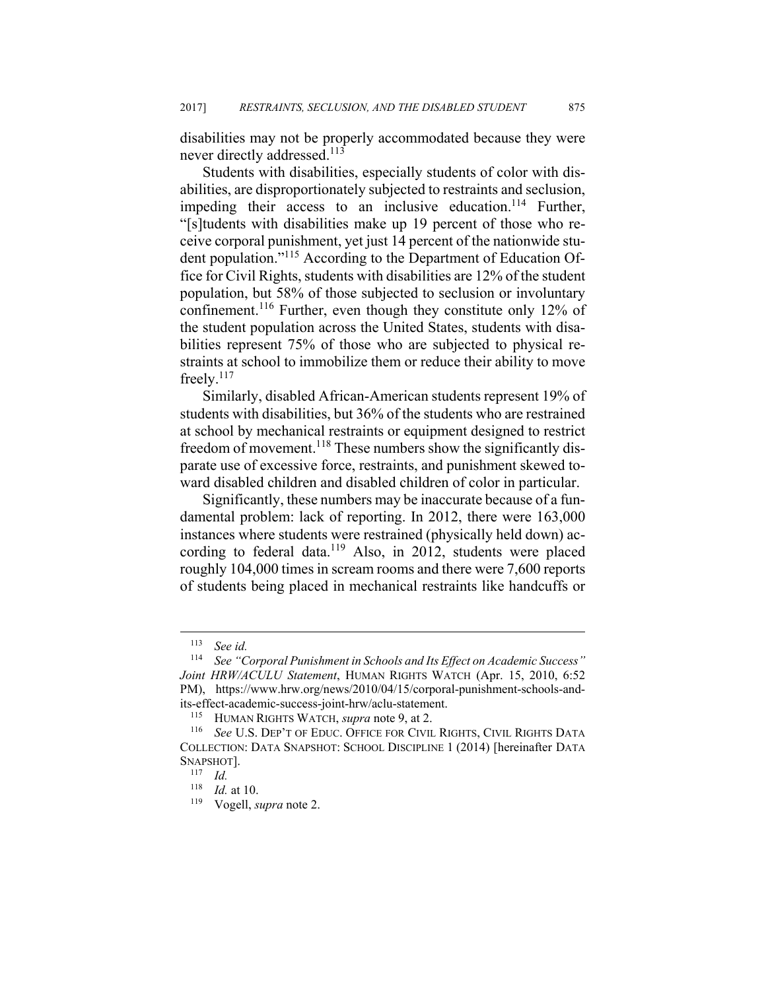disabilities may not be properly accommodated because they were never directly addressed.<sup>113</sup>

Students with disabilities, especially students of color with disabilities, are disproportionately subjected to restraints and seclusion, impeding their access to an inclusive education.<sup>114</sup> Further, "[s]tudents with disabilities make up 19 percent of those who receive corporal punishment, yet just 14 percent of the nationwide student population."115 According to the Department of Education Office for Civil Rights, students with disabilities are 12% of the student population, but 58% of those subjected to seclusion or involuntary confinement.116 Further, even though they constitute only 12% of the student population across the United States, students with disabilities represent 75% of those who are subjected to physical restraints at school to immobilize them or reduce their ability to move freely.117

Similarly, disabled African-American students represent 19% of students with disabilities, but 36% of the students who are restrained at school by mechanical restraints or equipment designed to restrict freedom of movement.<sup>118</sup> These numbers show the significantly disparate use of excessive force, restraints, and punishment skewed toward disabled children and disabled children of color in particular.

Significantly, these numbers may be inaccurate because of a fundamental problem: lack of reporting. In 2012, there were 163,000 instances where students were restrained (physically held down) according to federal data.<sup>119</sup> Also, in 2012, students were placed roughly 104,000 times in scream rooms and there were 7,600 reports of students being placed in mechanical restraints like handcuffs or

<u>.</u>

<sup>&</sup>lt;sup>113</sup> See id.<br><sup>114</sup> See "C

<sup>114</sup> *See "Corporal Punishment in Schools and Its Effect on Academic Success" Joint HRW/ACULU Statement*, HUMAN RIGHTS WATCH (Apr. 15, 2010, 6:52 PM), https://www.hrw.org/news/2010/04/15/corporal-punishment-schools-andits-effect-academic-success-joint-hrw/aclu-statement.<br><sup>115</sup> HUMAN RIGHTS WATCH, *supra* note 9, at 2.<br><sup>116</sup> See U.S. DEP'T OF EDUC. OFFICE FOR CIVIL RIGHTS, CIVIL RIGHTS DATA

COLLECTION: DATA SNAPSHOT: SCHOOL DISCIPLINE 1 (2014) [hereinafter DATA SNAPSHOT].<br><sup>117</sup> *Id.*<br><sup>118</sup> *Id.* at 10.

<sup>&</sup>lt;sup>119</sup> Vogell, *supra* note 2.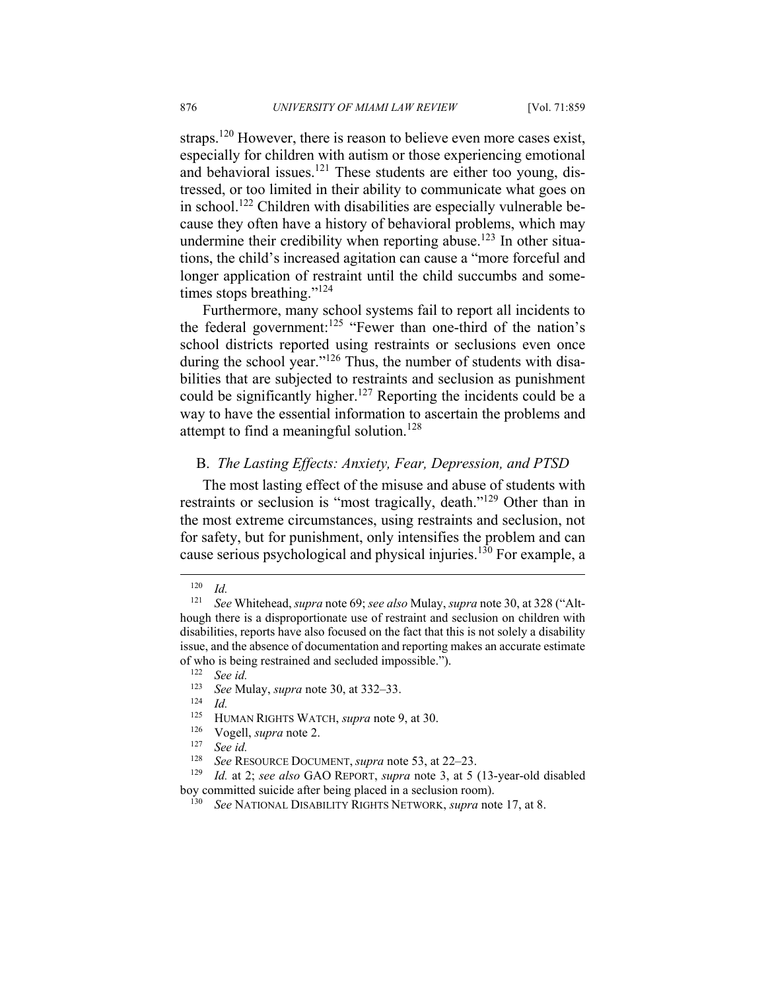straps.<sup>120</sup> However, there is reason to believe even more cases exist, especially for children with autism or those experiencing emotional and behavioral issues.<sup>121</sup> These students are either too young, distressed, or too limited in their ability to communicate what goes on in school.122 Children with disabilities are especially vulnerable because they often have a history of behavioral problems, which may undermine their credibility when reporting abuse.<sup>123</sup> In other situations, the child's increased agitation can cause a "more forceful and longer application of restraint until the child succumbs and sometimes stops breathing."124

Furthermore, many school systems fail to report all incidents to the federal government:<sup>125</sup> "Fewer than one-third of the nation's school districts reported using restraints or seclusions even once during the school year."<sup>126</sup> Thus, the number of students with disabilities that are subjected to restraints and seclusion as punishment could be significantly higher.<sup>127</sup> Reporting the incidents could be a way to have the essential information to ascertain the problems and attempt to find a meaningful solution.<sup>128</sup>

## B. *The Lasting Effects: Anxiety, Fear, Depression, and PTSD*

The most lasting effect of the misuse and abuse of students with restraints or seclusion is "most tragically, death."129 Other than in the most extreme circumstances, using restraints and seclusion, not for safety, but for punishment, only intensifies the problem and can cause serious psychological and physical injuries.130 For example, a

 $\frac{120}{121}$  *Id.* 

<sup>121</sup> *See* Whitehead, *supra* note 69; *see also* Mulay, *supra* note 30, at 328 ("Although there is a disproportionate use of restraint and seclusion on children with disabilities, reports have also focused on the fact that this is not solely a disability issue, and the absence of documentation and reporting makes an accurate estimate of who is being restrained and secluded impossible.").<br><sup>122</sup> See id.<br><sup>123</sup> See Mulay, gunus note 20, et 222, 22

<sup>123</sup> *See* Mulay, *supra* note 30, at 332–33. 124 *Id.*

<sup>125</sup> HUMAN RIGHTS WATCH, *supra* note 9, at 30. 126 Vogell, *supra* note 2. 127 *See id.* 

<sup>128</sup> *See* RESOURCE DOCUMENT, *supra* note 53, at 22–23. 129 *Id.* at 2; *see also* GAO REPORT, *supra* note 3, at 5 (13-year-old disabled boy committed suicide after being placed in a seclusion room). 130 *See* NATIONAL DISABILITY RIGHTS NETWORK, *supra* note 17, at 8.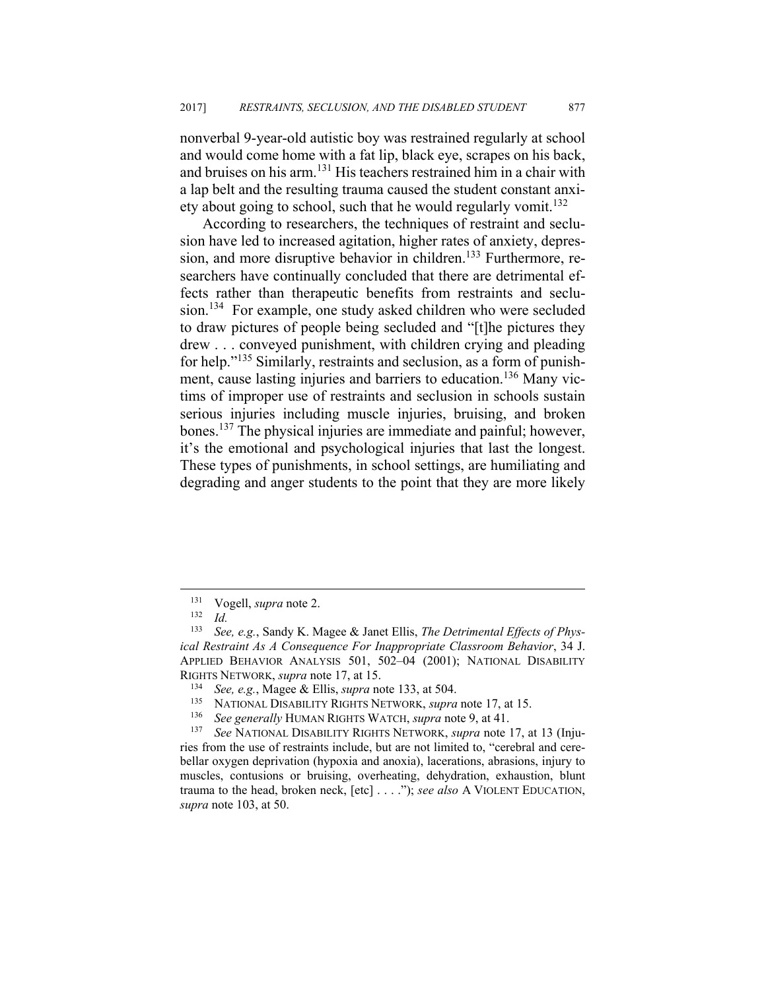nonverbal 9-year-old autistic boy was restrained regularly at school and would come home with a fat lip, black eye, scrapes on his back, and bruises on his arm.131 His teachers restrained him in a chair with a lap belt and the resulting trauma caused the student constant anxiety about going to school, such that he would regularly vomit.<sup>132</sup>

According to researchers, the techniques of restraint and seclusion have led to increased agitation, higher rates of anxiety, depression, and more disruptive behavior in children.<sup>133</sup> Furthermore, researchers have continually concluded that there are detrimental effects rather than therapeutic benefits from restraints and seclusion.134 For example, one study asked children who were secluded to draw pictures of people being secluded and "[t]he pictures they drew . . . conveyed punishment, with children crying and pleading for help."135 Similarly, restraints and seclusion, as a form of punishment, cause lasting injuries and barriers to education.<sup>136</sup> Many victims of improper use of restraints and seclusion in schools sustain serious injuries including muscle injuries, bruising, and broken bones.137 The physical injuries are immediate and painful; however, it's the emotional and psychological injuries that last the longest. These types of punishments, in school settings, are humiliating and degrading and anger students to the point that they are more likely

<sup>131</sup> Vogell, *supra* note 2. 132 *Id.* 

<sup>133</sup> *See, e.g.*, Sandy K. Magee & Janet Ellis, *The Detrimental Effects of Physical Restraint As A Consequence For Inappropriate Classroom Behavior*, 34 J. APPLIED BEHAVIOR ANALYSIS 501, 502–04 (2001); NATIONAL DISABILITY RIGHTS NETWORK, *supra* note 17, at 15.<br><sup>134</sup> See, e.g., Magee & Ellis, *supra* note 133, at 504.<br><sup>135</sup> NATIONAL DISABILITY RIGHTS NETWORK, *supra* note 17, at 15.<br><sup>136</sup> See generally HUMAN RIGHTS WATCH, *supra* note 9, a

ries from the use of restraints include, but are not limited to, "cerebral and cerebellar oxygen deprivation (hypoxia and anoxia), lacerations, abrasions, injury to muscles, contusions or bruising, overheating, dehydration, exhaustion, blunt trauma to the head, broken neck, [etc] . . . ."); *see also* A VIOLENT EDUCATION, *supra* note 103, at 50.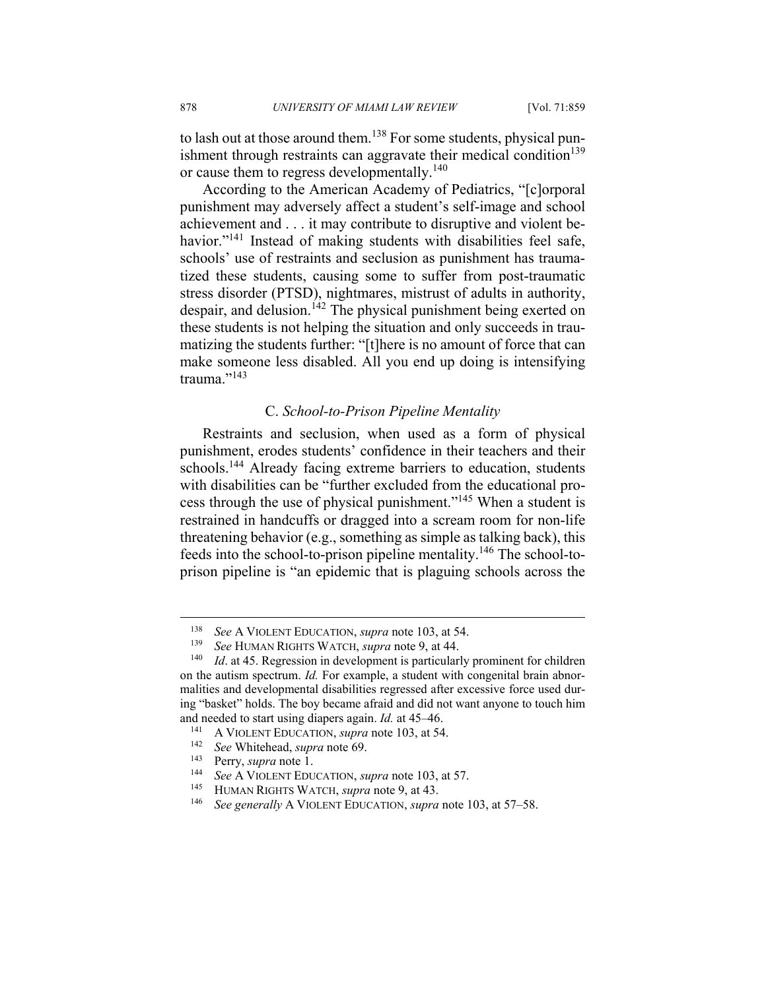to lash out at those around them.<sup>138</sup> For some students, physical punishment through restraints can aggravate their medical condition<sup>139</sup> or cause them to regress developmentally.<sup>140</sup>

According to the American Academy of Pediatrics, "[c]orporal punishment may adversely affect a student's self-image and school achievement and . . . it may contribute to disruptive and violent behavior."<sup>141</sup> Instead of making students with disabilities feel safe, schools' use of restraints and seclusion as punishment has traumatized these students, causing some to suffer from post-traumatic stress disorder (PTSD), nightmares, mistrust of adults in authority, despair, and delusion.<sup> $142$ </sup> The physical punishment being exerted on these students is not helping the situation and only succeeds in traumatizing the students further: "[t]here is no amount of force that can make someone less disabled. All you end up doing is intensifying trauma."<sup>143</sup>

### C. *School-to-Prison Pipeline Mentality*

Restraints and seclusion, when used as a form of physical punishment, erodes students' confidence in their teachers and their schools.<sup>144</sup> Already facing extreme barriers to education, students with disabilities can be "further excluded from the educational process through the use of physical punishment."145 When a student is restrained in handcuffs or dragged into a scream room for non-life threatening behavior (e.g., something as simple as talking back), this feeds into the school-to-prison pipeline mentality.<sup>146</sup> The school-toprison pipeline is "an epidemic that is plaguing schools across the

- 
- 

1

<sup>&</sup>lt;sup>138</sup> See A VIOLENT EDUCATION, *supra* note 103, at 54.<br><sup>139</sup> See HUMAN RIGHTS WATCH, *supra* note 9, at 44.<br><sup>140</sup> Id. at 45. Regression in development is particularly prominent for children on the autism spectrum. *Id.* For example, a student with congenital brain abnormalities and developmental disabilities regressed after excessive force used during "basket" holds. The boy became afraid and did not want anyone to touch him and needed to start using diapers again. *Id.* at 45–46.<br><sup>141</sup> A VIOLENT EDUCATION, *supra* note 103, at 54.<br><sup>142</sup> See Whitehead, *supra* note 69.<br><sup>143</sup> Perry, *supra* note 1.<br><sup>144</sup> See A VIOLENT EDUCATION, *supra* note 1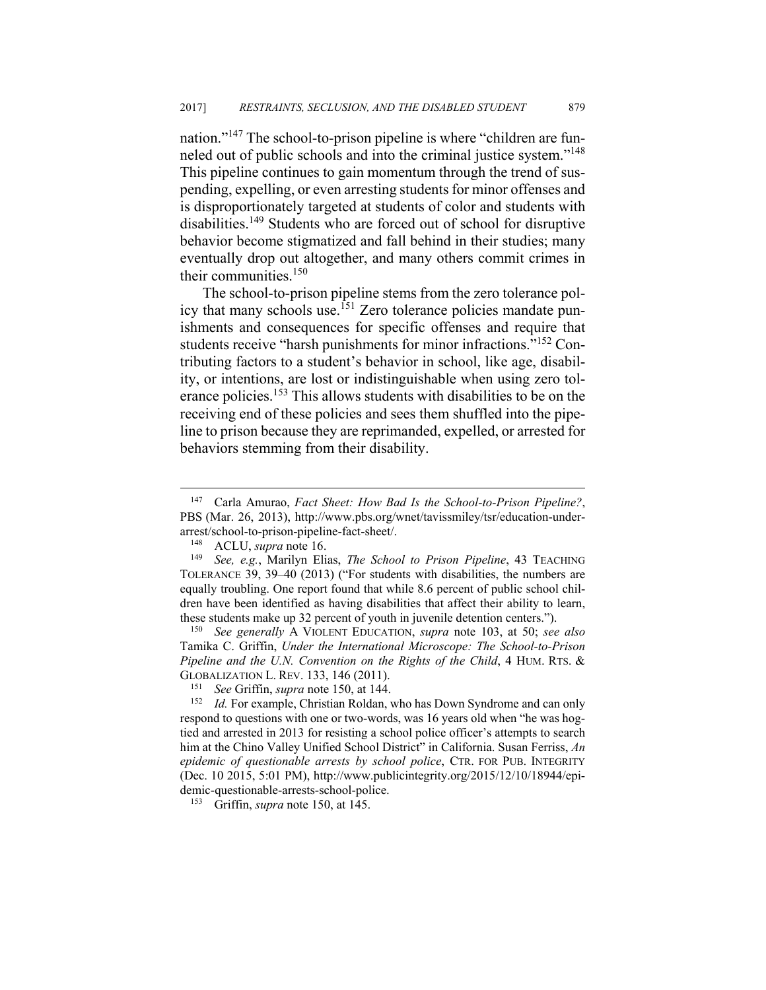nation."<sup>147</sup> The school-to-prison pipeline is where "children are funneled out of public schools and into the criminal justice system."148 This pipeline continues to gain momentum through the trend of suspending, expelling, or even arresting students for minor offenses and is disproportionately targeted at students of color and students with disabilities.149 Students who are forced out of school for disruptive behavior become stigmatized and fall behind in their studies; many eventually drop out altogether, and many others commit crimes in their communities.<sup>150</sup>

The school-to-prison pipeline stems from the zero tolerance policy that many schools use.<sup>151</sup> Zero tolerance policies mandate punishments and consequences for specific offenses and require that students receive "harsh punishments for minor infractions."152 Contributing factors to a student's behavior in school, like age, disability, or intentions, are lost or indistinguishable when using zero tolerance policies.<sup>153</sup> This allows students with disabilities to be on the receiving end of these policies and sees them shuffled into the pipeline to prison because they are reprimanded, expelled, or arrested for behaviors stemming from their disability.

 $\overline{a}$ 

Tamika C. Griffin, *Under the International Microscope: The School-to-Prison Pipeline and the U.N. Convention on the Rights of the Child*, 4 HUM. RTS. & GLOBALIZATION L. REV. 133, 146 (2011).<br><sup>151</sup> See Griffin, *supra* note 150, at 144.<br><sup>152</sup> Id. For example, Christian Roldan, who has Down Syndrome and can only

<sup>147</sup> Carla Amurao, *Fact Sheet: How Bad Is the School-to-Prison Pipeline?*, PBS (Mar. 26, 2013), http://www.pbs.org/wnet/tavissmiley/tsr/education-underarrest/school-to-prison-pipeline-fact-sheet/. 148 ACLU, *supra* note 16. 149 *See, e.g.*, Marilyn Elias, *The School to Prison Pipeline*, 43 TEACHING

TOLERANCE 39, 39–40 (2013) ("For students with disabilities, the numbers are equally troubling. One report found that while 8.6 percent of public school children have been identified as having disabilities that affect their ability to learn, these students make up 32 percent of youth in juvenile detention centers."). 150 *See generally* <sup>A</sup> VIOLENT EDUCATION, *supra* note 103, at 50; *see also* 

respond to questions with one or two-words, was 16 years old when "he was hogtied and arrested in 2013 for resisting a school police officer's attempts to search him at the Chino Valley Unified School District" in California. Susan Ferriss, *An epidemic of questionable arrests by school police*, CTR. FOR PUB. INTEGRITY (Dec. 10 2015, 5:01 PM), http://www.publicintegrity.org/2015/12/10/18944/epidemic-questionable-arrests-school-police. 153 Griffin, *supra* note 150, at 145.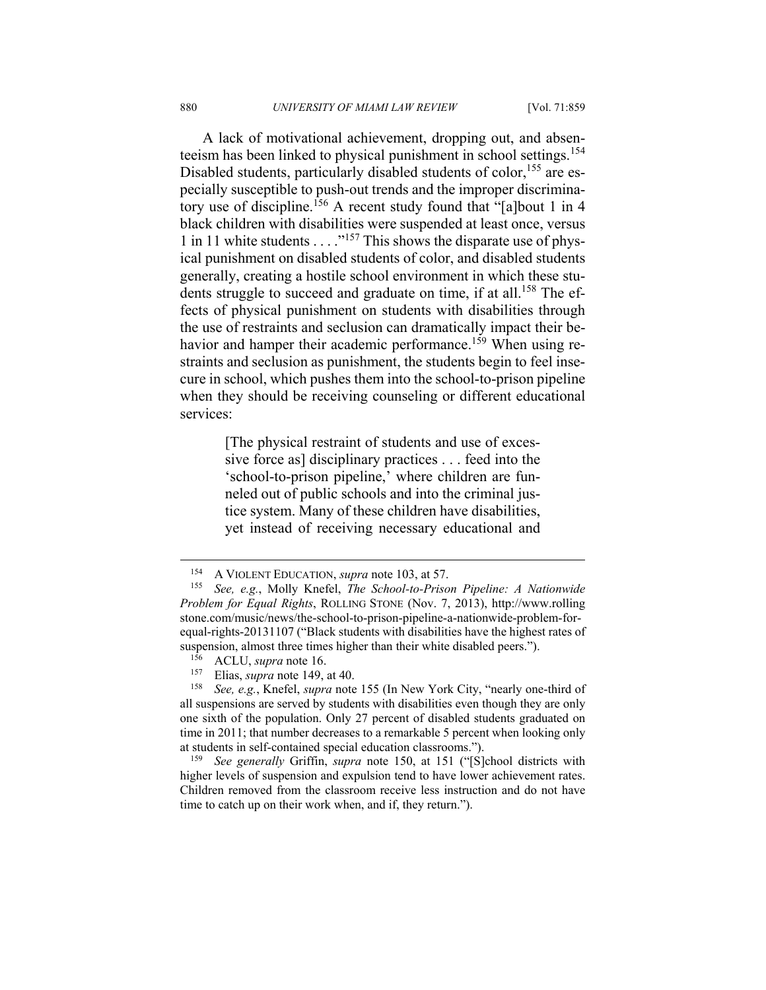A lack of motivational achievement, dropping out, and absenteeism has been linked to physical punishment in school settings.<sup>154</sup> Disabled students, particularly disabled students of color,<sup>155</sup> are especially susceptible to push-out trends and the improper discriminatory use of discipline.<sup>156</sup> A recent study found that "[a]bout 1 in 4 black children with disabilities were suspended at least once, versus 1 in 11 white students  $\ldots$ <sup>157</sup>. This shows the disparate use of physical punishment on disabled students of color, and disabled students generally, creating a hostile school environment in which these students struggle to succeed and graduate on time, if at all.<sup>158</sup> The effects of physical punishment on students with disabilities through the use of restraints and seclusion can dramatically impact their behavior and hamper their academic performance.<sup>159</sup> When using restraints and seclusion as punishment, the students begin to feel insecure in school, which pushes them into the school-to-prison pipeline when they should be receiving counseling or different educational services:

> [The physical restraint of students and use of excessive force as] disciplinary practices . . . feed into the 'school-to-prison pipeline,' where children are funneled out of public schools and into the criminal justice system. Many of these children have disabilities, yet instead of receiving necessary educational and

<sup>154</sup> A VIOLENT EDUCATION, *supra* note 103, at 57. 155 *See, e.g.*, Molly Knefel, *The School-to-Prison Pipeline: A Nationwide Problem for Equal Rights*, ROLLING STONE (Nov. 7, 2013), http://www.rolling stone.com/music/news/the-school-to-prison-pipeline-a-nationwide-problem-forequal-rights-20131107 ("Black students with disabilities have the highest rates of suspension, almost three times higher than their white disabled peers.").<br><sup>156</sup> ACLU, *supra* note 16.<br><sup>157</sup> Elias, *supra* note 149, at 40.<br><sup>158</sup> See, e.g., Knefel, *supra* note 155 (In New York City, "nearly one-third of

all suspensions are served by students with disabilities even though they are only one sixth of the population. Only 27 percent of disabled students graduated on time in 2011; that number decreases to a remarkable 5 percent when looking only at students in self-contained special education classrooms."). 159 *See generally* Griffin, *supra* note 150, at 151 ("[S]chool districts with

higher levels of suspension and expulsion tend to have lower achievement rates. Children removed from the classroom receive less instruction and do not have time to catch up on their work when, and if, they return.").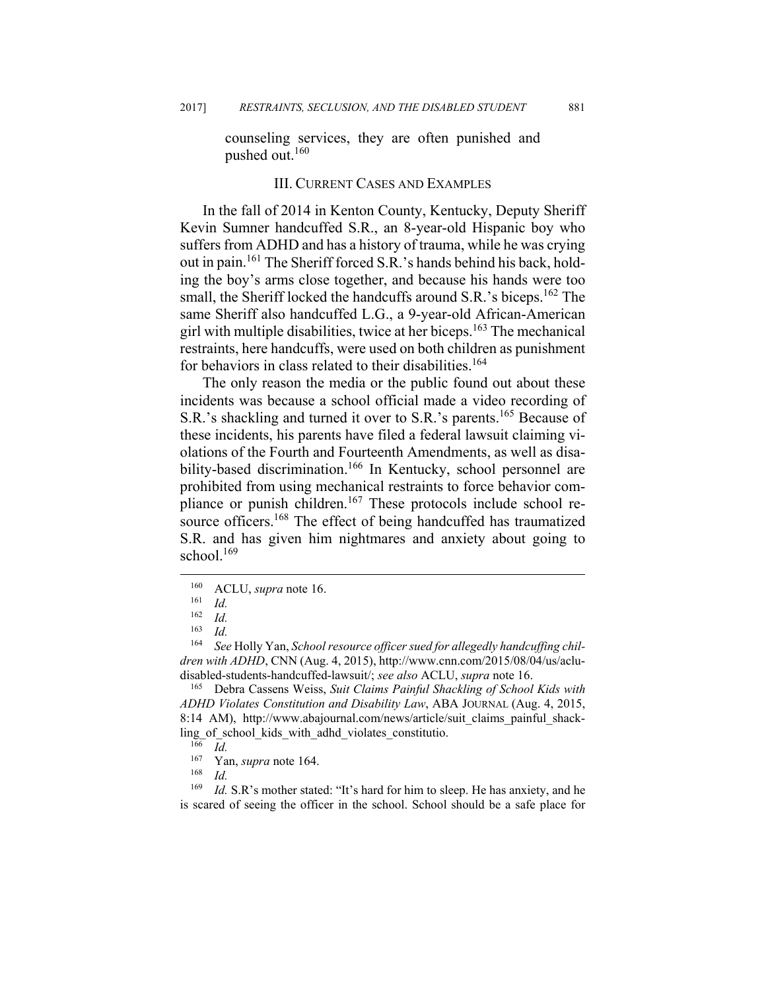counseling services, they are often punished and pushed out.160

#### III. CURRENT CASES AND EXAMPLES

In the fall of 2014 in Kenton County, Kentucky, Deputy Sheriff Kevin Sumner handcuffed S.R., an 8-year-old Hispanic boy who suffers from ADHD and has a history of trauma, while he was crying out in pain.161 The Sheriff forced S.R.'s hands behind his back, holding the boy's arms close together, and because his hands were too small, the Sheriff locked the handcuffs around S.R.'s biceps.<sup>162</sup> The same Sheriff also handcuffed L.G., a 9-year-old African-American girl with multiple disabilities, twice at her biceps.<sup>163</sup> The mechanical restraints, here handcuffs, were used on both children as punishment for behaviors in class related to their disabilities.<sup>164</sup>

The only reason the media or the public found out about these incidents was because a school official made a video recording of S.R.'s shackling and turned it over to S.R.'s parents.<sup>165</sup> Because of these incidents, his parents have filed a federal lawsuit claiming violations of the Fourth and Fourteenth Amendments, as well as disability-based discrimination.<sup>166</sup> In Kentucky, school personnel are prohibited from using mechanical restraints to force behavior compliance or punish children.<sup>167</sup> These protocols include school resource officers.<sup>168</sup> The effect of being handcuffed has traumatized S.R. and has given him nightmares and anxiety about going to school.<sup>169</sup>

 $\overline{a}$ 

*ADHD Violates Constitution and Disability Law*, ABA JOURNAL (Aug. 4, 2015, 8:14 AM), http://www.abajournal.com/news/article/suit\_claims\_painful\_shackling\_of\_school\_kids\_with\_adhd\_violates\_constitutio.<br><sup>166</sup> *Id.*<br><sup>167</sup> Yan sunga pote 164

<sup>160</sup> ACLU, *supra* note 16. 161 *Id.*

<sup>162</sup> *Id.* 

 $\frac{163}{164}$  *Id.* 

See Holly Yan, *School resource officer sued for allegedly handcuffing children with ADHD*, CNN (Aug. 4, 2015), http://www.cnn.com/2015/08/04/us/acludisabled-students-handcuffed-lawsuit/; *see also* ACLU, *supra* note 16. 165 Debra Cassens Weiss, *Suit Claims Painful Shackling of School Kids with* 

<sup>167</sup> Yan, *supra* note 164. 168 *Id.* 

<sup>&</sup>lt;sup>169</sup> *Id.* S.R's mother stated: "It's hard for him to sleep. He has anxiety, and he is scared of seeing the officer in the school. School should be a safe place for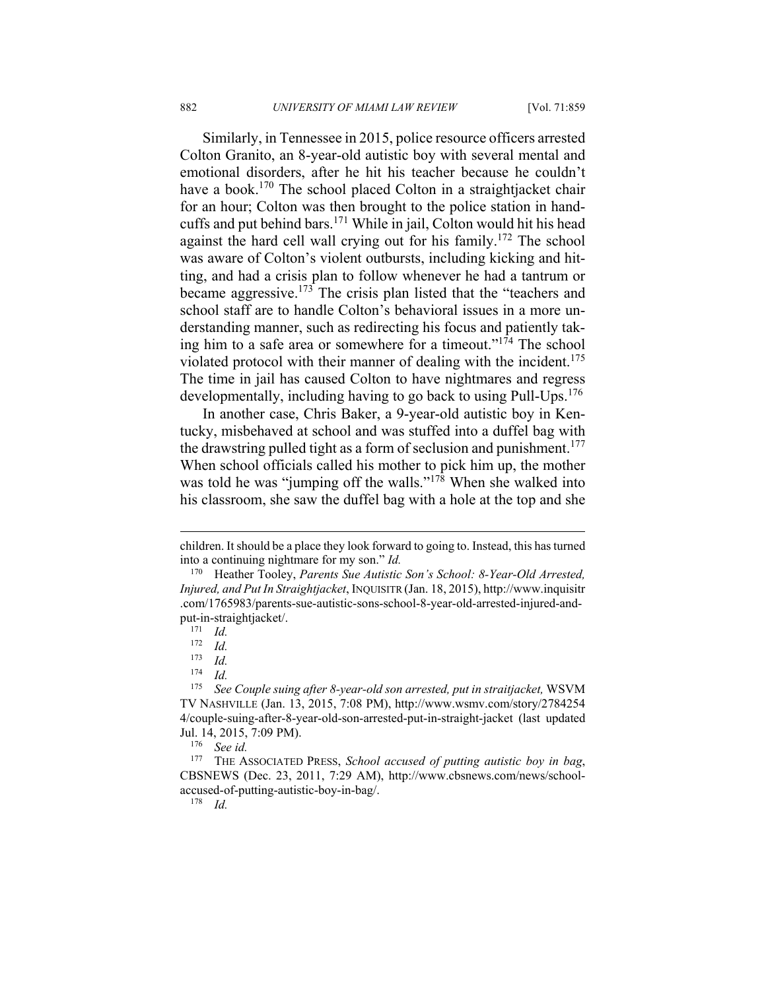Similarly, in Tennessee in 2015, police resource officers arrested Colton Granito, an 8-year-old autistic boy with several mental and emotional disorders, after he hit his teacher because he couldn't have a book.<sup>170</sup> The school placed Colton in a straightjacket chair for an hour; Colton was then brought to the police station in handcuffs and put behind bars.171 While in jail, Colton would hit his head against the hard cell wall crying out for his family.<sup>172</sup> The school was aware of Colton's violent outbursts, including kicking and hitting, and had a crisis plan to follow whenever he had a tantrum or became aggressive.<sup>173</sup> The crisis plan listed that the "teachers and school staff are to handle Colton's behavioral issues in a more understanding manner, such as redirecting his focus and patiently taking him to a safe area or somewhere for a timeout."174 The school violated protocol with their manner of dealing with the incident.<sup>175</sup> The time in jail has caused Colton to have nightmares and regress developmentally, including having to go back to using Pull-Ups.<sup>176</sup>

In another case, Chris Baker, a 9-year-old autistic boy in Kentucky, misbehaved at school and was stuffed into a duffel bag with the drawstring pulled tight as a form of seclusion and punishment.<sup>177</sup> When school officials called his mother to pick him up, the mother was told he was "jumping off the walls."<sup>178</sup> When she walked into his classroom, she saw the duffel bag with a hole at the top and she

1

children. It should be a place they look forward to going to. Instead, this has turned into a continuing nightmare for my son." *Id.* 

<sup>170</sup> Heather Tooley, *Parents Sue Autistic Son's School: 8-Year-Old Arrested, Injured, and Put In Straightjacket*, INQUISITR (Jan. 18, 2015), http://www.inquisitr .com/1765983/parents-sue-autistic-sons-school-8-year-old-arrested-injured-andput-in-straightjacket/.<br><sup>171</sup> *Id.*<br><sup>172</sup> *Id* 

 $\frac{172}{173}$  *Id.* 

 $\frac{173}{174}$  *Id.* 

 $\frac{174}{175}$  *Id.* 

<sup>175</sup> *See Couple suing after 8-year-old son arrested, put in straitjacket,* WSVM TV NASHVILLE (Jan. 13, 2015, 7:08 PM), http://www.wsmv.com/story/2784254 4/couple-suing-after-8-year-old-son-arrested-put-in-straight-jacket (last updated Jul. 14, 2015, 7:09 PM). 176 *See id.*

<sup>177</sup> THE ASSOCIATED PRESS, *School accused of putting autistic boy in bag*, CBSNEWS (Dec. 23, 2011, 7:29 AM), http://www.cbsnews.com/news/schoolaccused-of-putting-autistic-boy-in-bag/. 178 *Id.*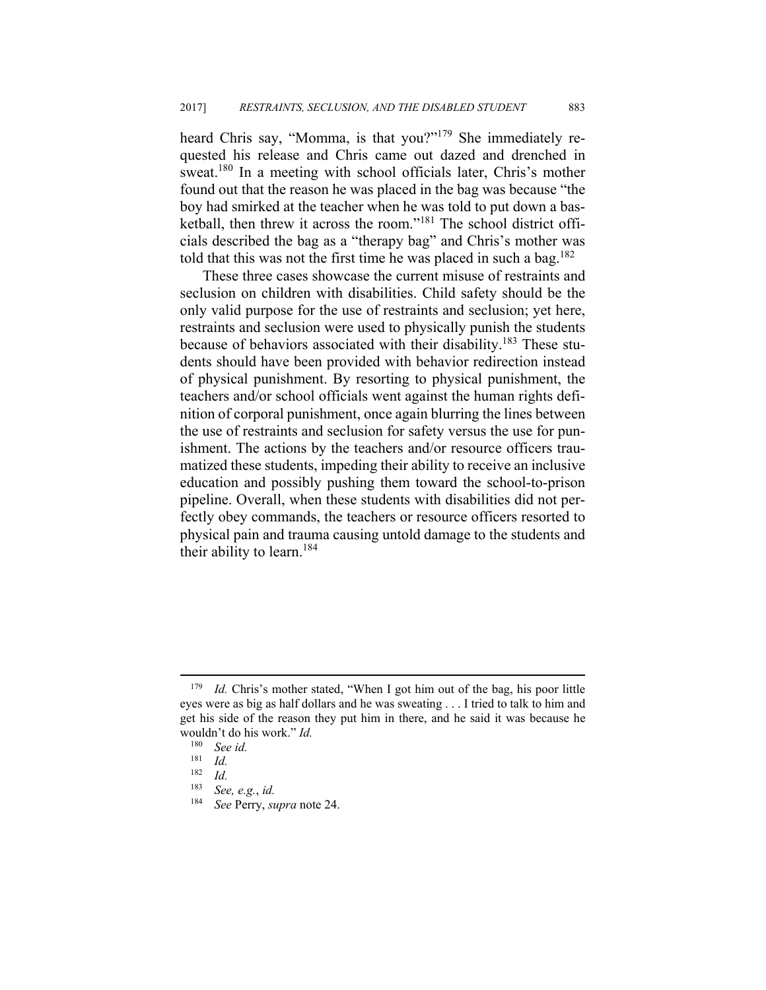heard Chris say, "Momma, is that you?"<sup>179</sup> She immediately requested his release and Chris came out dazed and drenched in sweat.<sup>180</sup> In a meeting with school officials later, Chris's mother found out that the reason he was placed in the bag was because "the boy had smirked at the teacher when he was told to put down a basketball, then threw it across the room."181 The school district officials described the bag as a "therapy bag" and Chris's mother was told that this was not the first time he was placed in such a bag.<sup>182</sup>

These three cases showcase the current misuse of restraints and seclusion on children with disabilities. Child safety should be the only valid purpose for the use of restraints and seclusion; yet here, restraints and seclusion were used to physically punish the students because of behaviors associated with their disability.<sup>183</sup> These students should have been provided with behavior redirection instead of physical punishment. By resorting to physical punishment, the teachers and/or school officials went against the human rights definition of corporal punishment, once again blurring the lines between the use of restraints and seclusion for safety versus the use for punishment. The actions by the teachers and/or resource officers traumatized these students, impeding their ability to receive an inclusive education and possibly pushing them toward the school-to-prison pipeline. Overall, when these students with disabilities did not perfectly obey commands, the teachers or resource officers resorted to physical pain and trauma causing untold damage to the students and their ability to learn.<sup>184</sup>

<sup>179</sup> *Id.* Chris's mother stated, "When I got him out of the bag, his poor little eyes were as big as half dollars and he was sweating . . . I tried to talk to him and get his side of the reason they put him in there, and he said it was because he wouldn't do his work." *Id.* 

 $\frac{180}{181}$  *See id.* 

 $\frac{181}{182}$  *Id.* 

<sup>182</sup> *Id.*

<sup>183</sup> *See, e.g.*, *id.* 

<sup>184</sup> *See* Perry, *supra* note 24.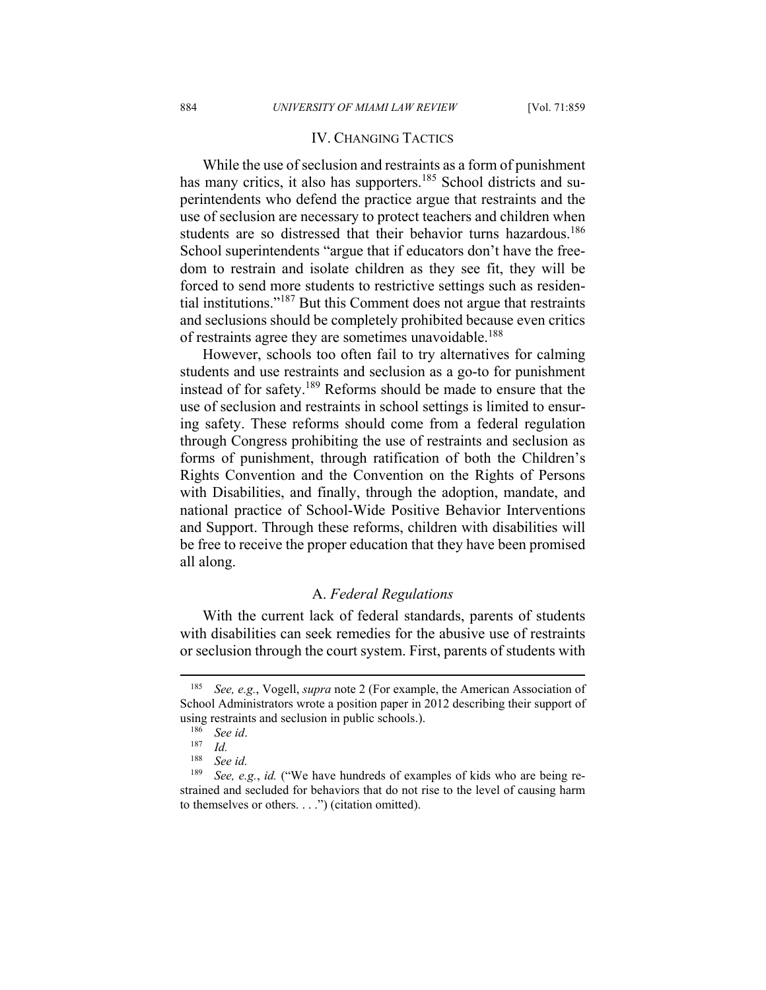#### IV. CHANGING TACTICS

While the use of seclusion and restraints as a form of punishment has many critics, it also has supporters.<sup>185</sup> School districts and superintendents who defend the practice argue that restraints and the use of seclusion are necessary to protect teachers and children when students are so distressed that their behavior turns hazardous.<sup>186</sup> School superintendents "argue that if educators don't have the freedom to restrain and isolate children as they see fit, they will be forced to send more students to restrictive settings such as residential institutions."187 But this Comment does not argue that restraints and seclusions should be completely prohibited because even critics of restraints agree they are sometimes unavoidable.<sup>188</sup>

However, schools too often fail to try alternatives for calming students and use restraints and seclusion as a go-to for punishment instead of for safety.189 Reforms should be made to ensure that the use of seclusion and restraints in school settings is limited to ensuring safety. These reforms should come from a federal regulation through Congress prohibiting the use of restraints and seclusion as forms of punishment, through ratification of both the Children's Rights Convention and the Convention on the Rights of Persons with Disabilities, and finally, through the adoption, mandate, and national practice of School-Wide Positive Behavior Interventions and Support. Through these reforms, children with disabilities will be free to receive the proper education that they have been promised all along.

### A. *Federal Regulations*

With the current lack of federal standards, parents of students with disabilities can seek remedies for the abusive use of restraints or seclusion through the court system. First, parents of students with

<sup>185</sup> *See, e.g.*, Vogell, *supra* note 2 (For example, the American Association of School Administrators wrote a position paper in 2012 describing their support of using restraints and seclusion in public schools.).<br><sup>186</sup> See id.<br><sup>187</sup> Id.<br><sup>188</sup> See id

See *id.* 

<sup>189</sup> *See, e.g.*, *id.* ("We have hundreds of examples of kids who are being restrained and secluded for behaviors that do not rise to the level of causing harm to themselves or others. . . .") (citation omitted).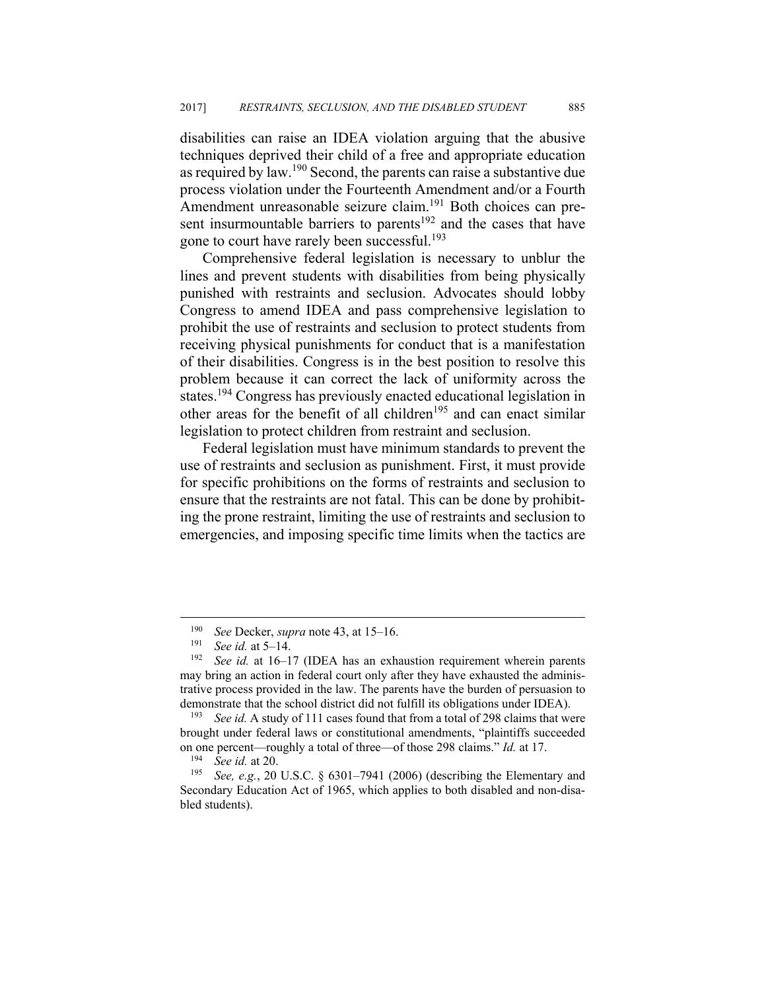disabilities can raise an IDEA violation arguing that the abusive techniques deprived their child of a free and appropriate education as required by law.190 Second, the parents can raise a substantive due process violation under the Fourteenth Amendment and/or a Fourth Amendment unreasonable seizure claim.<sup>191</sup> Both choices can present insurmountable barriers to parents<sup>192</sup> and the cases that have gone to court have rarely been successful.<sup>193</sup>

Comprehensive federal legislation is necessary to unblur the lines and prevent students with disabilities from being physically punished with restraints and seclusion. Advocates should lobby Congress to amend IDEA and pass comprehensive legislation to prohibit the use of restraints and seclusion to protect students from receiving physical punishments for conduct that is a manifestation of their disabilities. Congress is in the best position to resolve this problem because it can correct the lack of uniformity across the states.194 Congress has previously enacted educational legislation in other areas for the benefit of all children<sup>195</sup> and can enact similar legislation to protect children from restraint and seclusion.

Federal legislation must have minimum standards to prevent the use of restraints and seclusion as punishment. First, it must provide for specific prohibitions on the forms of restraints and seclusion to ensure that the restraints are not fatal. This can be done by prohibiting the prone restraint, limiting the use of restraints and seclusion to emergencies, and imposing specific time limits when the tactics are

<sup>190</sup> *See* Decker, *supra* note 43, at 15–16. 191 *See id.* at 5–14. 192 *See id.* at 16–17 (IDEA has an exhaustion requirement wherein parents may bring an action in federal court only after they have exhausted the administrative process provided in the law. The parents have the burden of persuasion to demonstrate that the school district did not fulfill its obligations under IDEA). 193 *See id.* A study of 111 cases found that from a total of 298 claims that were

brought under federal laws or constitutional amendments, "plaintiffs succeeded on one percent—roughly a total of three—of those 298 claims." *Id.* at 17.<br><sup>194</sup> See id. at 20.<br><sup>195</sup> See, e.g., 20 U.S.C. § 6301–7941 (2006) (describing the Elementary and

Secondary Education Act of 1965, which applies to both disabled and non-disabled students).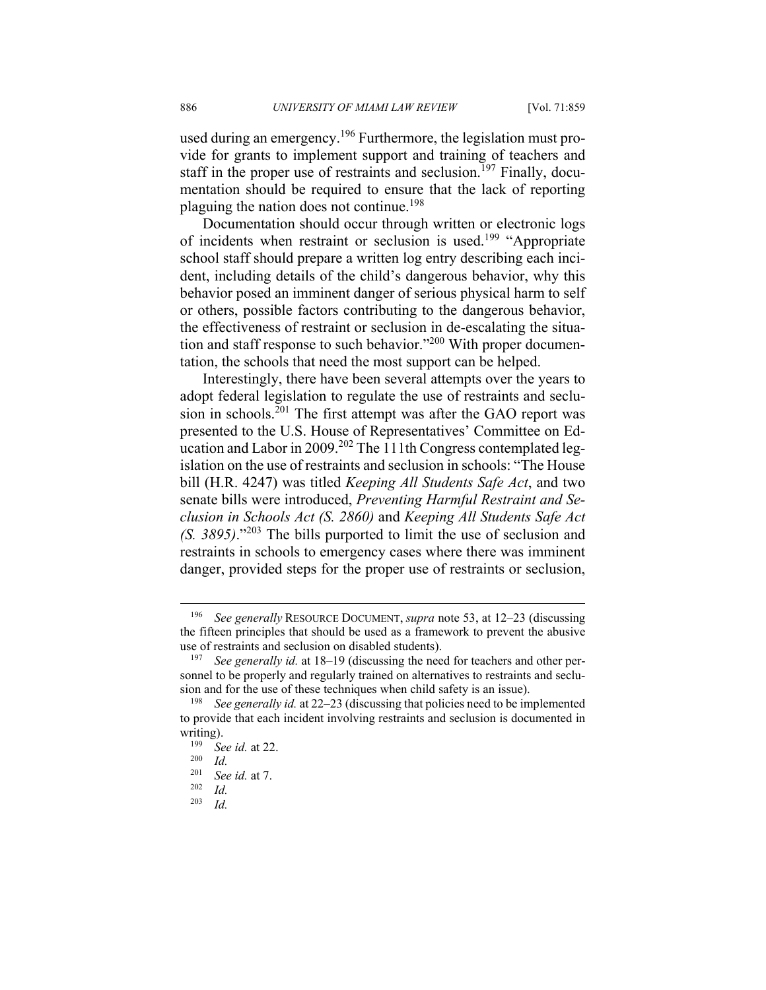used during an emergency.196 Furthermore, the legislation must provide for grants to implement support and training of teachers and staff in the proper use of restraints and seclusion.<sup>197</sup> Finally, documentation should be required to ensure that the lack of reporting plaguing the nation does not continue.<sup>198</sup>

Documentation should occur through written or electronic logs of incidents when restraint or seclusion is used.<sup>199</sup> "Appropriate" school staff should prepare a written log entry describing each incident, including details of the child's dangerous behavior, why this behavior posed an imminent danger of serious physical harm to self or others, possible factors contributing to the dangerous behavior, the effectiveness of restraint or seclusion in de-escalating the situation and staff response to such behavior."200 With proper documentation, the schools that need the most support can be helped.

Interestingly, there have been several attempts over the years to adopt federal legislation to regulate the use of restraints and seclusion in schools.<sup>201</sup> The first attempt was after the GAO report was presented to the U.S. House of Representatives' Committee on Education and Labor in 2009.<sup>202</sup> The 111th Congress contemplated legislation on the use of restraints and seclusion in schools: "The House bill (H.R. 4247) was titled *Keeping All Students Safe Act*, and two senate bills were introduced, *Preventing Harmful Restraint and Seclusion in Schools Act (S. 2860)* and *Keeping All Students Safe Act (S. 3895)*."203 The bills purported to limit the use of seclusion and restraints in schools to emergency cases where there was imminent danger, provided steps for the proper use of restraints or seclusion,

<sup>196</sup> *See generally* RESOURCE DOCUMENT, *supra* note 53, at 12–23 (discussing the fifteen principles that should be used as a framework to prevent the abusive use of restraints and seclusion on disabled students). 197 *See generally id.* at 18–19 (discussing the need for teachers and other per-

sonnel to be properly and regularly trained on alternatives to restraints and seclusion and for the use of these techniques when child safety is an issue). 198 *See generally id.* at 22–23 (discussing that policies need to be implemented

to provide that each incident involving restraints and seclusion is documented in

writing).<br><sup>199</sup> *See id.* at 22.<br><sup>200</sup> *Id.*<br><sup>201</sup> *See id.* at 7

<sup>201</sup> *See id.* at 7. 202 *Id.* 

*Id.*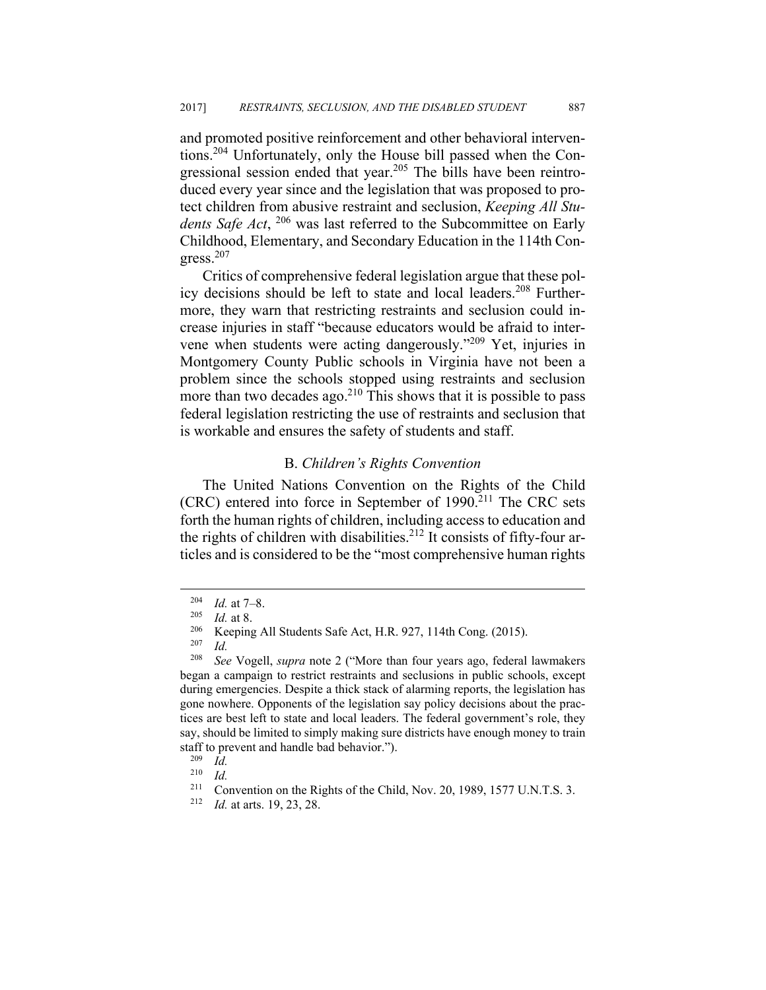and promoted positive reinforcement and other behavioral interventions.204 Unfortunately, only the House bill passed when the Congressional session ended that year.<sup>205</sup> The bills have been reintroduced every year since and the legislation that was proposed to protect children from abusive restraint and seclusion, *Keeping All Stu*dents Safe Act, <sup>206</sup> was last referred to the Subcommittee on Early Childhood, Elementary, and Secondary Education in the 114th Con $gress.<sup>207</sup>$ 

Critics of comprehensive federal legislation argue that these policy decisions should be left to state and local leaders.<sup>208</sup> Furthermore, they warn that restricting restraints and seclusion could increase injuries in staff "because educators would be afraid to intervene when students were acting dangerously."209 Yet, injuries in Montgomery County Public schools in Virginia have not been a problem since the schools stopped using restraints and seclusion more than two decades ago.<sup>210</sup> This shows that it is possible to pass federal legislation restricting the use of restraints and seclusion that is workable and ensures the safety of students and staff.

#### B. *Children's Rights Convention*

The United Nations Convention on the Rights of the Child  $(CRC)$  entered into force in September of 1990.<sup>211</sup> The CRC sets forth the human rights of children, including access to education and the rights of children with disabilities.<sup>212</sup> It consists of fifty-four articles and is considered to be the "most comprehensive human rights

<sup>&</sup>lt;sup>204</sup> *Id.* at 7–8.<br><sup>205</sup> *Id.* at 8.<br><sup>206</sup> Keeping All Students Safe Act, H.R. 927, 114th Cong. (2015).<br><sup>207</sup> *Id* 

<sup>208</sup> *See* Vogell, *supra* note 2 ("More than four years ago, federal lawmakers began a campaign to restrict restraints and seclusions in public schools, except during emergencies. Despite a thick stack of alarming reports, the legislation has gone nowhere. Opponents of the legislation say policy decisions about the practices are best left to state and local leaders. The federal government's role, they say, should be limited to simply making sure districts have enough money to train staff to prevent and handle bad behavior.").<br><sup>209</sup> *Id.*<br><sup>210</sup> *Id.* 

<sup>210</sup> *Id.* 

<sup>211</sup> Convention on the Rights of the Child, Nov. 20, 1989, 1577 U.N.T.S. 3. 212 *Id.* at arts. 19, 23, 28.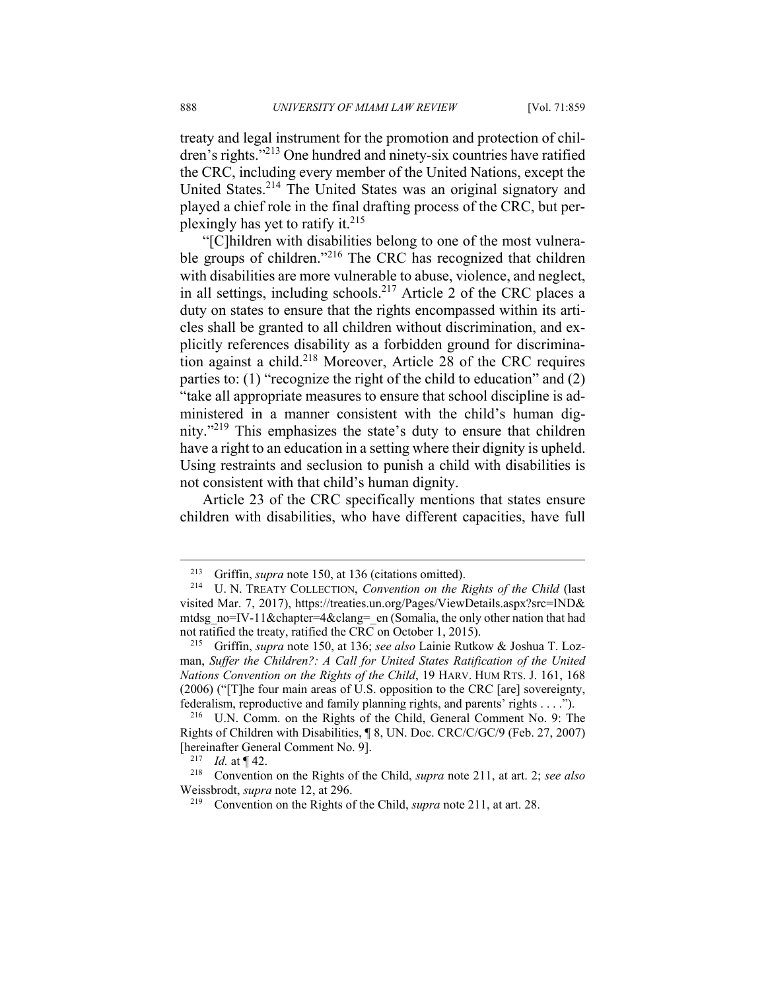treaty and legal instrument for the promotion and protection of children's rights."213 One hundred and ninety-six countries have ratified the CRC, including every member of the United Nations, except the United States.214 The United States was an original signatory and played a chief role in the final drafting process of the CRC, but perplexingly has yet to ratify it. $215$ 

"[C]hildren with disabilities belong to one of the most vulnerable groups of children."<sup>216</sup> The CRC has recognized that children with disabilities are more vulnerable to abuse, violence, and neglect, in all settings, including schools.<sup>217</sup> Article 2 of the CRC places a duty on states to ensure that the rights encompassed within its articles shall be granted to all children without discrimination, and explicitly references disability as a forbidden ground for discrimination against a child.218 Moreover, Article 28 of the CRC requires parties to: (1) "recognize the right of the child to education" and (2) "take all appropriate measures to ensure that school discipline is administered in a manner consistent with the child's human dignity."219 This emphasizes the state's duty to ensure that children have a right to an education in a setting where their dignity is upheld. Using restraints and seclusion to punish a child with disabilities is not consistent with that child's human dignity.

Article 23 of the CRC specifically mentions that states ensure children with disabilities, who have different capacities, have full

<sup>213</sup> Griffin, *supra* note 150, at 136 (citations omitted). 214 U. N. TREATY COLLECTION, *Convention on the Rights of the Child* (last visited Mar. 7, 2017), https://treaties.un.org/Pages/ViewDetails.aspx?src=IND& mtdsg\_no=IV-11&chapter=4&clang=\_en (Somalia, the only other nation that had not ratified the treaty, ratified the CRC on October 1, 2015).

<sup>215</sup> Griffin, *supra* note 150, at 136; *see also* Lainie Rutkow & Joshua T. Lozman, Suffer the Children?: A Call for United States Ratification of the United *Nations Convention on the Rights of the Child*, 19 HARV. HUM RTS. J. 161, 168 (2006) ("[T]he four main areas of U.S. opposition to the CRC [are] sovereignty, federalism, reproductive and family planning rights, and parents' rights . . . ."). 216 U.N. Comm. on the Rights of the Child, General Comment No. 9: The

Rights of Children with Disabilities, ¶ 8, UN. Doc. CRC/C/GC/9 (Feb. 27, 2007) [hereinafter General Comment No. 9]. 217 *Id.* at ¶ 42. 218 Convention on the Rights of the Child, *supra* note 211, at art. 2; *see also* 

Weissbrodt, *supra* note 12, at 296.<br><sup>219</sup> Convention on the Rights of the Child, *supra* note 211, at art. 28.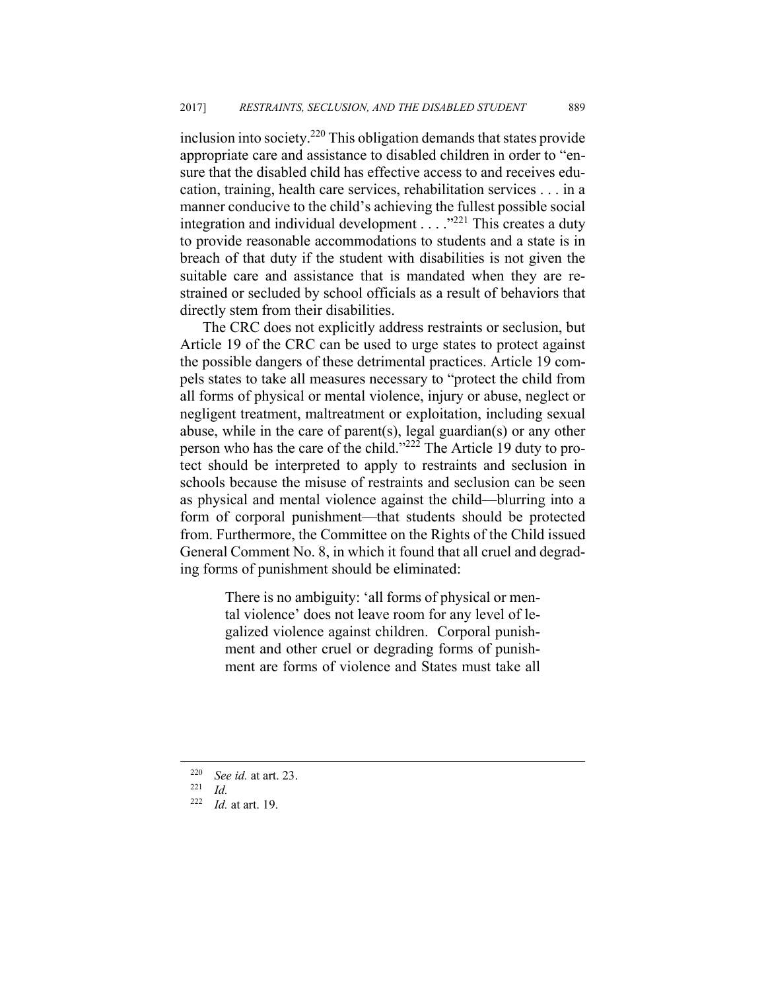inclusion into society.220 This obligation demands that states provide appropriate care and assistance to disabled children in order to "ensure that the disabled child has effective access to and receives education, training, health care services, rehabilitation services . . . in a manner conducive to the child's achieving the fullest possible social integration and individual development . . . . "<sup>221</sup> This creates a duty to provide reasonable accommodations to students and a state is in breach of that duty if the student with disabilities is not given the suitable care and assistance that is mandated when they are restrained or secluded by school officials as a result of behaviors that directly stem from their disabilities.

The CRC does not explicitly address restraints or seclusion, but Article 19 of the CRC can be used to urge states to protect against the possible dangers of these detrimental practices. Article 19 compels states to take all measures necessary to "protect the child from all forms of physical or mental violence, injury or abuse, neglect or negligent treatment, maltreatment or exploitation, including sexual abuse, while in the care of parent(s), legal guardian(s) or any other person who has the care of the child."222 The Article 19 duty to protect should be interpreted to apply to restraints and seclusion in schools because the misuse of restraints and seclusion can be seen as physical and mental violence against the child—blurring into a form of corporal punishment—that students should be protected from. Furthermore, the Committee on the Rights of the Child issued General Comment No. 8, in which it found that all cruel and degrading forms of punishment should be eliminated:

> There is no ambiguity: 'all forms of physical or mental violence' does not leave room for any level of legalized violence against children. Corporal punishment and other cruel or degrading forms of punishment are forms of violence and States must take all

<u>.</u>

<sup>220</sup> *See id.* at art. 23. 221 *Id.* 

<sup>222</sup> *Id.* at art. 19.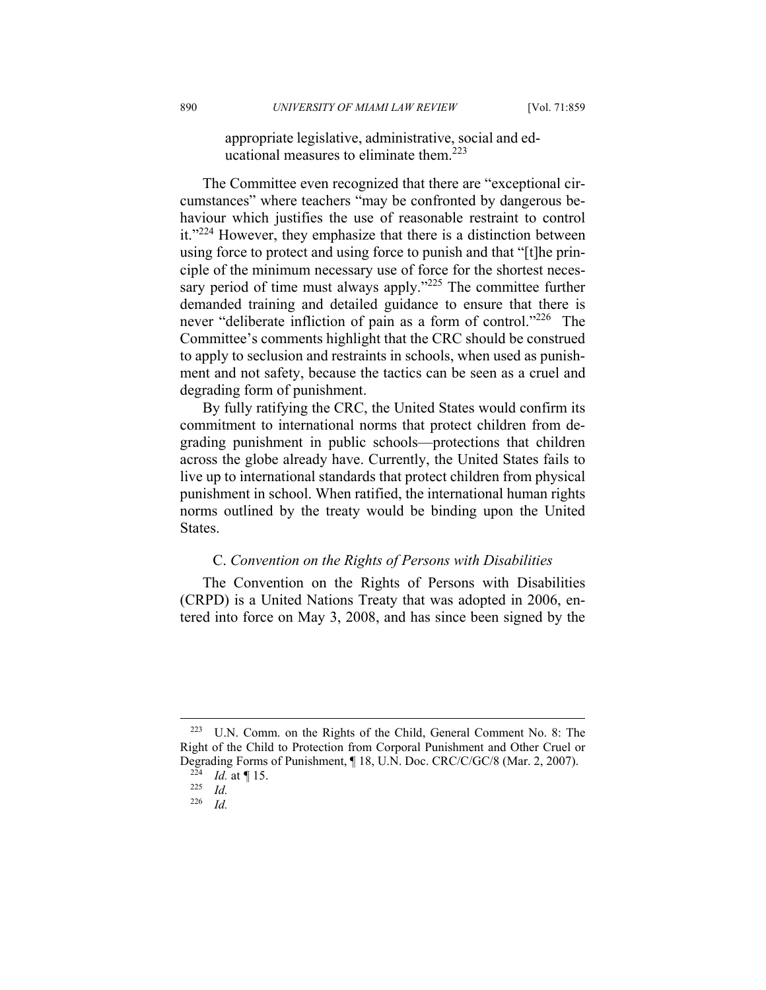appropriate legislative, administrative, social and educational measures to eliminate them.<sup>223</sup>

The Committee even recognized that there are "exceptional circumstances" where teachers "may be confronted by dangerous behaviour which justifies the use of reasonable restraint to control it."224 However, they emphasize that there is a distinction between using force to protect and using force to punish and that "[t]he principle of the minimum necessary use of force for the shortest necessary period of time must always apply."<sup>225</sup> The committee further demanded training and detailed guidance to ensure that there is never "deliberate infliction of pain as a form of control."<sup>226</sup> The Committee's comments highlight that the CRC should be construed to apply to seclusion and restraints in schools, when used as punishment and not safety, because the tactics can be seen as a cruel and degrading form of punishment.

By fully ratifying the CRC, the United States would confirm its commitment to international norms that protect children from degrading punishment in public schools—protections that children across the globe already have. Currently, the United States fails to live up to international standards that protect children from physical punishment in school. When ratified, the international human rights norms outlined by the treaty would be binding upon the United States.

#### C. *Convention on the Rights of Persons with Disabilities*

The Convention on the Rights of Persons with Disabilities (CRPD) is a United Nations Treaty that was adopted in 2006, entered into force on May 3, 2008, and has since been signed by the

<sup>223</sup> U.N. Comm. on the Rights of the Child, General Comment No. 8: The Right of the Child to Protection from Corporal Punishment and Other Cruel or Degrading Forms of Punishment, ¶ 18, U.N. Doc. CRC/C/GC/8 (Mar. 2, 2007). 224 *Id.* at *¶* 15. 225 *Id.* 

*Id.*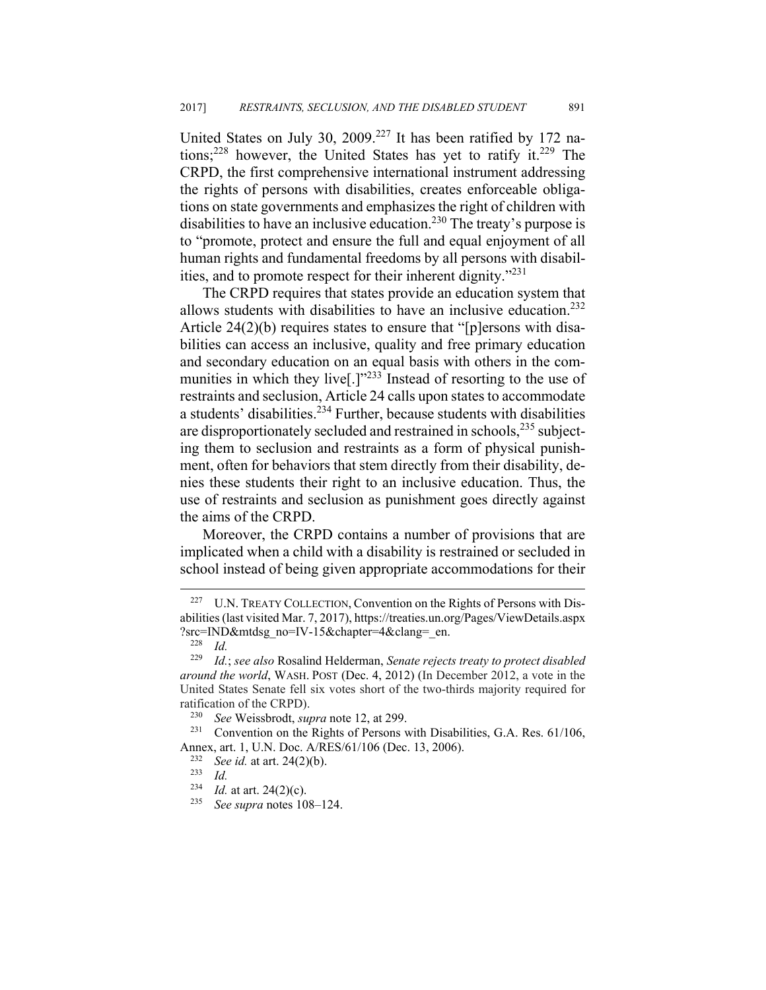United States on July 30, 2009.<sup>227</sup> It has been ratified by 172 nations;<sup>228</sup> however, the United States has yet to ratify it.<sup>229</sup> The CRPD, the first comprehensive international instrument addressing the rights of persons with disabilities, creates enforceable obligations on state governments and emphasizes the right of children with disabilities to have an inclusive education.<sup>230</sup> The treaty's purpose is to "promote, protect and ensure the full and equal enjoyment of all human rights and fundamental freedoms by all persons with disabilities, and to promote respect for their inherent dignity."231

The CRPD requires that states provide an education system that allows students with disabilities to have an inclusive education.<sup>232</sup> Article 24(2)(b) requires states to ensure that "[p]ersons with disabilities can access an inclusive, quality and free primary education and secondary education on an equal basis with others in the communities in which they live<sup>[1]</sup><sup>233</sup> Instead of resorting to the use of restraints and seclusion, Article 24 calls upon states to accommodate a students' disabilities.<sup>234</sup> Further, because students with disabilities are disproportionately secluded and restrained in schools,<sup>235</sup> subjecting them to seclusion and restraints as a form of physical punishment, often for behaviors that stem directly from their disability, denies these students their right to an inclusive education. Thus, the use of restraints and seclusion as punishment goes directly against the aims of the CRPD.

Moreover, the CRPD contains a number of provisions that are implicated when a child with a disability is restrained or secluded in school instead of being given appropriate accommodations for their

<sup>&</sup>lt;sup>227</sup> U.N. TREATY COLLECTION, Convention on the Rights of Persons with Disabilities (last visited Mar. 7, 2017), https://treaties.un.org/Pages/ViewDetails.aspx ?src=IND&mtdsg\_no=IV-15&chapter=4&clang=\_en. 228 *Id.* 

<sup>229</sup> *Id.*; *see also* Rosalind Helderman, *Senate rejects treaty to protect disabled around the world*, WASH. POST (Dec. 4, 2012) (In December 2012, a vote in the United States Senate fell six votes short of the two-thirds majority required for ratification of the CRPD).

<sup>&</sup>lt;sup>230</sup> *See* Weissbrodt, *supra* note 12, at 299.<br><sup>231</sup> Convention on the Rights of Persons with Disabilities, G.A. Res. 61/106, Annex, art. 1, U.N. Doc. A/RES/61/106 (Dec. 13, 2006). 232 *See id.* at art. 24(2)(b). 233 *Id.*

<sup>234</sup> *Id.* at art. 24(2)(c). 235 *See supra* notes 108–124.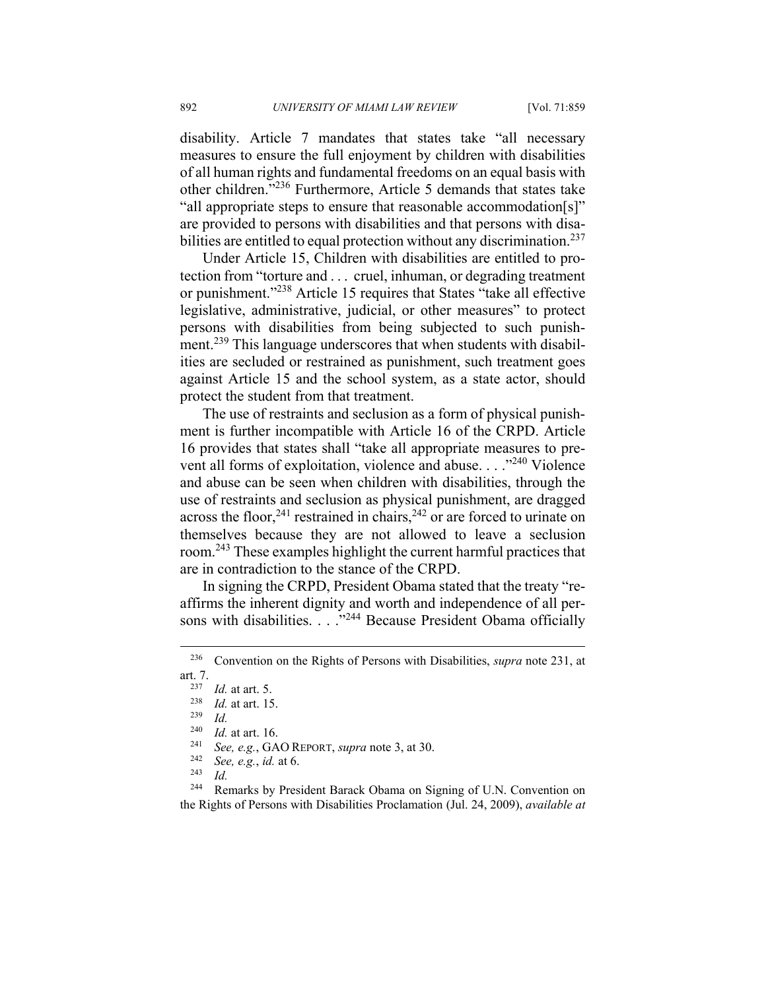disability. Article 7 mandates that states take "all necessary measures to ensure the full enjoyment by children with disabilities of all human rights and fundamental freedoms on an equal basis with other children."236 Furthermore, Article 5 demands that states take "all appropriate steps to ensure that reasonable accommodation[s]" are provided to persons with disabilities and that persons with disabilities are entitled to equal protection without any discrimination.<sup>237</sup>

Under Article 15, Children with disabilities are entitled to protection from "torture and . . . cruel, inhuman, or degrading treatment or punishment."238 Article 15 requires that States "take all effective legislative, administrative, judicial, or other measures" to protect persons with disabilities from being subjected to such punishment.<sup>239</sup> This language underscores that when students with disabilities are secluded or restrained as punishment, such treatment goes against Article 15 and the school system, as a state actor, should protect the student from that treatment.

The use of restraints and seclusion as a form of physical punishment is further incompatible with Article 16 of the CRPD. Article 16 provides that states shall "take all appropriate measures to prevent all forms of exploitation, violence and abuse. . . ."<sup>240</sup> Violence and abuse can be seen when children with disabilities, through the use of restraints and seclusion as physical punishment, are dragged across the floor,<sup>241</sup> restrained in chairs,<sup>242</sup> or are forced to urinate on themselves because they are not allowed to leave a seclusion room.243 These examples highlight the current harmful practices that are in contradiction to the stance of the CRPD.

In signing the CRPD, President Obama stated that the treaty "reaffirms the inherent dignity and worth and independence of all persons with disabilities. . . .<sup>"244</sup> Because President Obama officially

1

<sup>236</sup> Convention on the Rights of Persons with Disabilities, *supra* note 231, at

art. 7. 237 *Id.* at art. 5. 238 *Id.* at art. 15. 239 *Id.* 

<sup>240</sup> *Id.* at art. 16. 241 *See, e.g.*, GAO REPORT, *supra* note 3, at 30. 242 *See, e.g.*, *id.* at 6. 243 *Id.*

<sup>&</sup>lt;sup>244</sup> Remarks by President Barack Obama on Signing of U.N. Convention on the Rights of Persons with Disabilities Proclamation (Jul. 24, 2009), *available at*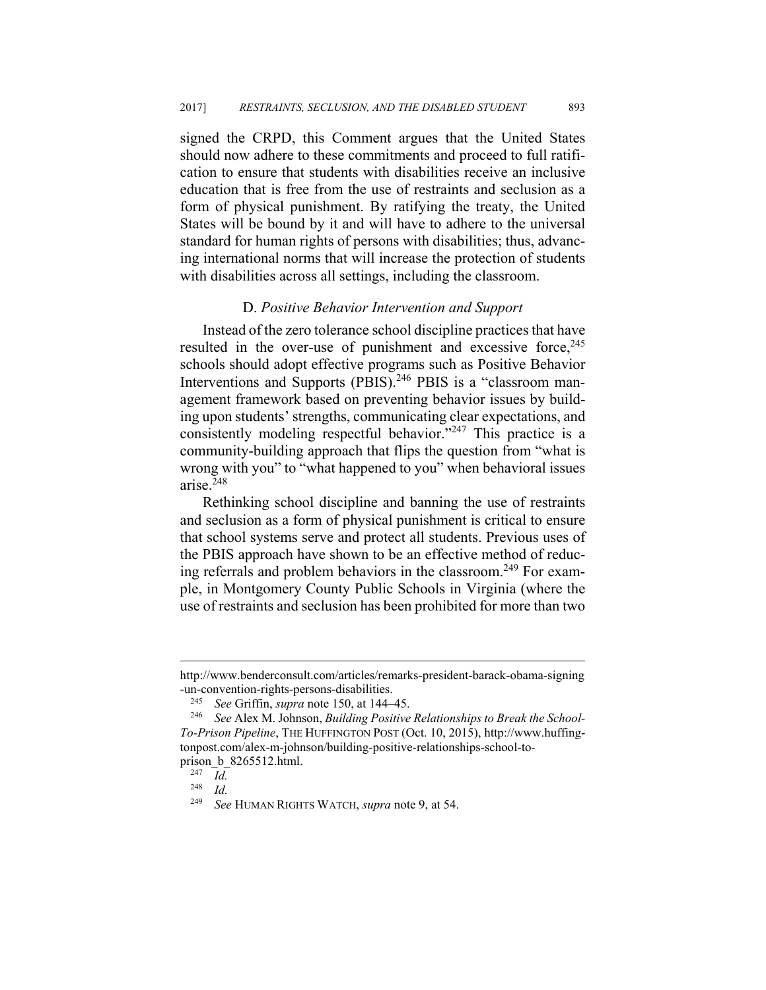signed the CRPD, this Comment argues that the United States should now adhere to these commitments and proceed to full ratification to ensure that students with disabilities receive an inclusive education that is free from the use of restraints and seclusion as a form of physical punishment. By ratifying the treaty, the United States will be bound by it and will have to adhere to the universal standard for human rights of persons with disabilities; thus, advancing international norms that will increase the protection of students with disabilities across all settings, including the classroom.

#### D. *Positive Behavior Intervention and Support*

Instead of the zero tolerance school discipline practices that have resulted in the over-use of punishment and excessive force,<sup>245</sup> schools should adopt effective programs such as Positive Behavior Interventions and Supports (PBIS).<sup>246</sup> PBIS is a "classroom management framework based on preventing behavior issues by building upon students' strengths, communicating clear expectations, and consistently modeling respectful behavior."<sup>247</sup> This practice is a community-building approach that flips the question from "what is wrong with you" to "what happened to you" when behavioral issues arise. $248$ 

Rethinking school discipline and banning the use of restraints and seclusion as a form of physical punishment is critical to ensure that school systems serve and protect all students. Previous uses of the PBIS approach have shown to be an effective method of reducing referrals and problem behaviors in the classroom.<sup>249</sup> For example, in Montgomery County Public Schools in Virginia (where the use of restraints and seclusion has been prohibited for more than two

http://www.benderconsult.com/articles/remarks-president-barack-obama-signing -un-convention-rights-persons-disabilities.

<sup>245</sup> *See* Griffin, *supra* note 150, at 144–45. 246 *See* Alex M. Johnson, *Building Positive Relationships to Break the School-To-Prison Pipeline*, THE HUFFINGTON POST (Oct. 10, 2015), http://www.huffingtonpost.com/alex-m-johnson/building-positive-relationships-school-toprison\_b\_8265512.html.

*Id.* 

 $\frac{248}{249}$  *Id.* 

<sup>249</sup> *See* HUMAN RIGHTS WATCH, *supra* note 9, at 54.